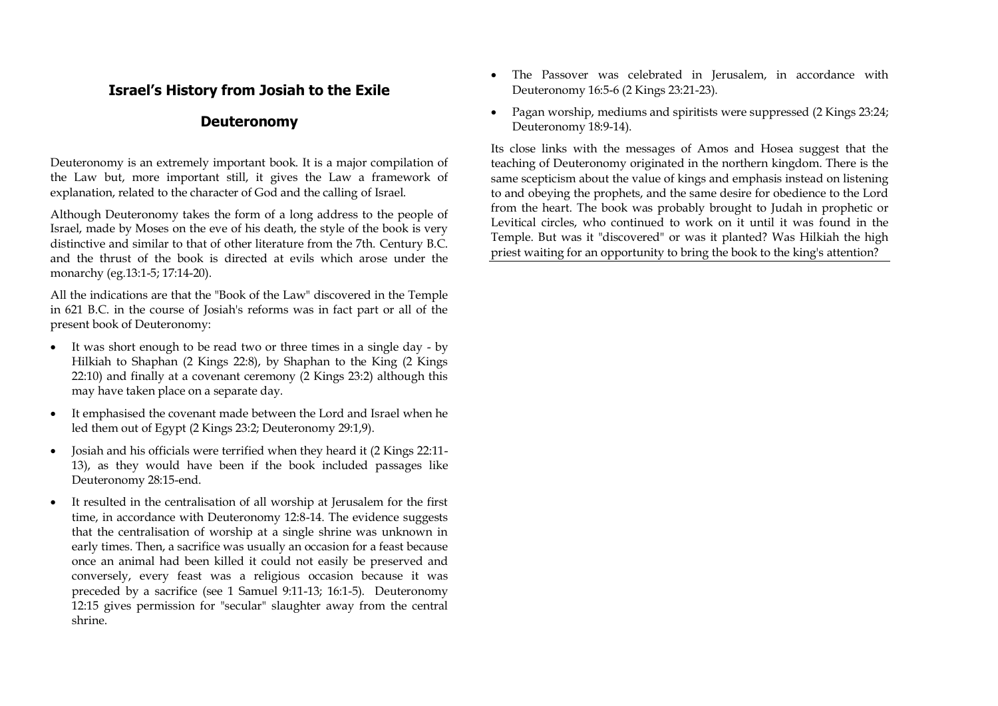# **Israel's History from Josiah to the Exile**

# **Deuteronomy**

Deuteronomy is an extremely important book. It is a major compilation of the Law but, more important still, it gives the Law a framework of explanation, related to the character of God and the calling of Israel.

Although Deuteronomy takes the form of a long address to the people of Israel, made by Moses on the eve of his death, the style of the book is very distinctive and similar to that of other literature from the 7th. Century B.C. and the thrust of the book is directed at evils which arose under the monarchy (eg.13:1-5; 17:14-20).

All the indications are that the "Book of the Law" discovered in the Temple in 621 B.C. in the course of Josiah's reforms was in fact part or all of the present book of Deuteronomy:

- It was short enough to be read two or three times in a single day by Hilkiah to Shaphan (2 Kings 22:8), by Shaphan to the King (2 Kings 22:10) and finally at a covenant ceremony (2 Kings 23:2) although this may have taken place on a separate day.
- It emphasised the covenant made between the Lord and Israel when he led them out of Egypt (2 Kings 23:2; Deuteronomy 29:1,9).
- Josiah and his officials were terrified when they heard it (2 Kings 22:11- 13), as they would have been if the book included passages like Deuteronomy 28:15-end.
- It resulted in the centralisation of all worship at Jerusalem for the first time, in accordance with Deuteronomy 12:8-14. The evidence suggests that the centralisation of worship at a single shrine was unknown in early times. Then, a sacrifice was usually an occasion for a feast because once an animal had been killed it could not easily be preserved and conversely, every feast was a religious occasion because it was preceded by a sacrifice (see 1 Samuel 9:11-13; 16:1-5). Deuteronomy 12:15 gives permission for "secular" slaughter away from the central shrine.
- The Passover was celebrated in Jerusalem, in accordance with Deuteronomy 16:5-6 (2 Kings 23:21-23).
- Pagan worship, mediums and spiritists were suppressed (2 Kings 23:24; Deuteronomy 18:9-14).

Its close links with the messages of Amos and Hosea suggest that the teaching of Deuteronomy originated in the northern kingdom. There is the same scepticism about the value of kings and emphasis instead on listening to and obeying the prophets, and the same desire for obedience to the Lord from the heart. The book was probably brought to Judah in prophetic or Levitical circles, who continued to work on it until it was found in the Temple. But was it "discovered" or was it planted? Was Hilkiah the high priest waiting for an opportunity to bring the book to the king's attention?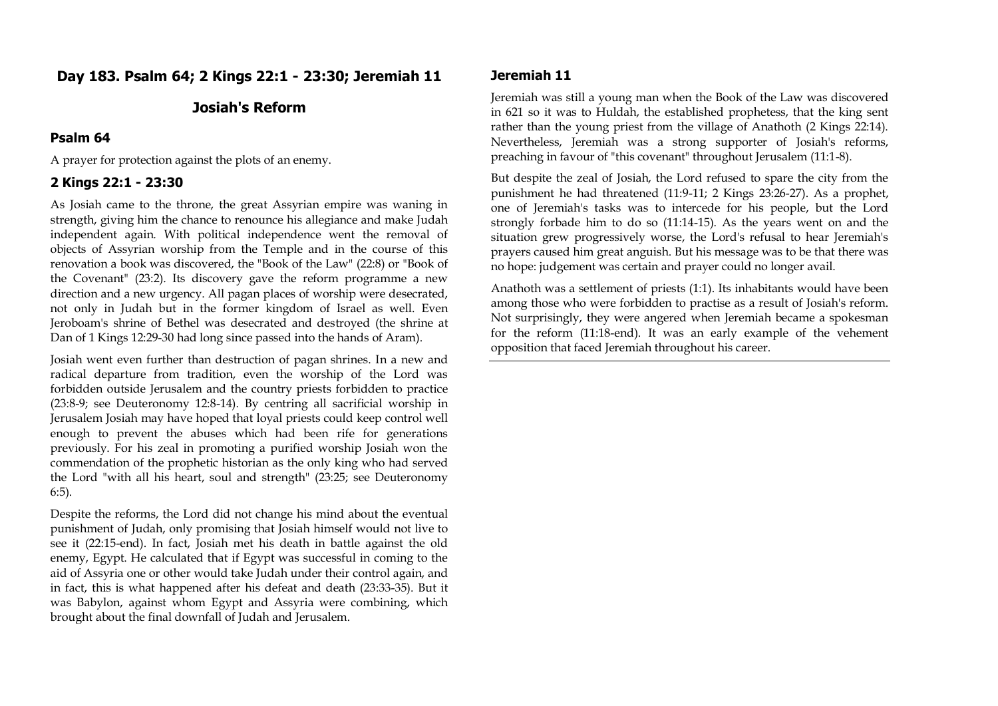# **Day 183. Psalm 64; 2 Kings 22:1 - 23:30; Jeremiah 11**

## **Josiah's Reform**

#### **Psalm 64**

A prayer for protection against the plots of an enemy.

#### **2 Kings 22:1 - 23:30**

As Josiah came to the throne, the great Assyrian empire was waning in strength, giving him the chance to renounce his allegiance and make Judah independent again. With political independence went the removal of objects of Assyrian worship from the Temple and in the course of this renovation a book was discovered, the "Book of the Law" (22:8) or "Book of the Covenant" (23:2). Its discovery gave the reform programme a new direction and a new urgency. All pagan places of worship were desecrated, not only in Judah but in the former kingdom of Israel as well. Even Jeroboam's shrine of Bethel was desecrated and destroyed (the shrine at Dan of 1 Kings 12:29-30 had long since passed into the hands of Aram).

Josiah went even further than destruction of pagan shrines. In a new and radical departure from tradition, even the worship of the Lord was forbidden outside Jerusalem and the country priests forbidden to practice (23:8-9; see Deuteronomy 12:8-14). By centring all sacrificial worship in Jerusalem Josiah may have hoped that loyal priests could keep control well enough to prevent the abuses which had been rife for generations previously. For his zeal in promoting a purified worship Josiah won the commendation of the prophetic historian as the only king who had served the Lord "with all his heart, soul and strength" (23:25; see Deuteronomy 6:5).

Despite the reforms, the Lord did not change his mind about the eventual punishment of Judah, only promising that Josiah himself would not live to see it (22:15-end). In fact, Josiah met his death in battle against the old enemy, Egypt. He calculated that if Egypt was successful in coming to the aid of Assyria one or other would take Judah under their control again, and in fact, this is what happened after his defeat and death (23:33-35). But it was Babylon, against whom Egypt and Assyria were combining, which brought about the final downfall of Judah and Jerusalem.

#### **Jeremiah 11**

Jeremiah was still a young man when the Book of the Law was discovered in 621 so it was to Huldah, the established prophetess, that the king sent rather than the young priest from the village of Anathoth (2 Kings 22:14). Nevertheless, Jeremiah was a strong supporter of Josiah's reforms, preaching in favour of "this covenant" throughout Jerusalem (11:1-8).

But despite the zeal of Josiah, the Lord refused to spare the city from the punishment he had threatened (11:9-11; 2 Kings 23:26-27). As a prophet, one of Jeremiah's tasks was to intercede for his people, but the Lord strongly forbade him to do so (11:14-15). As the years went on and the situation grew progressively worse, the Lord's refusal to hear Jeremiah's prayers caused him great anguish. But his message was to be that there was no hope: judgement was certain and prayer could no longer avail.

Anathoth was a settlement of priests (1:1). Its inhabitants would have been among those who were forbidden to practise as a result of Josiah's reform. Not surprisingly, they were angered when Jeremiah became a spokesman for the reform (11:18-end). It was an early example of the vehement opposition that faced Jeremiah throughout his career.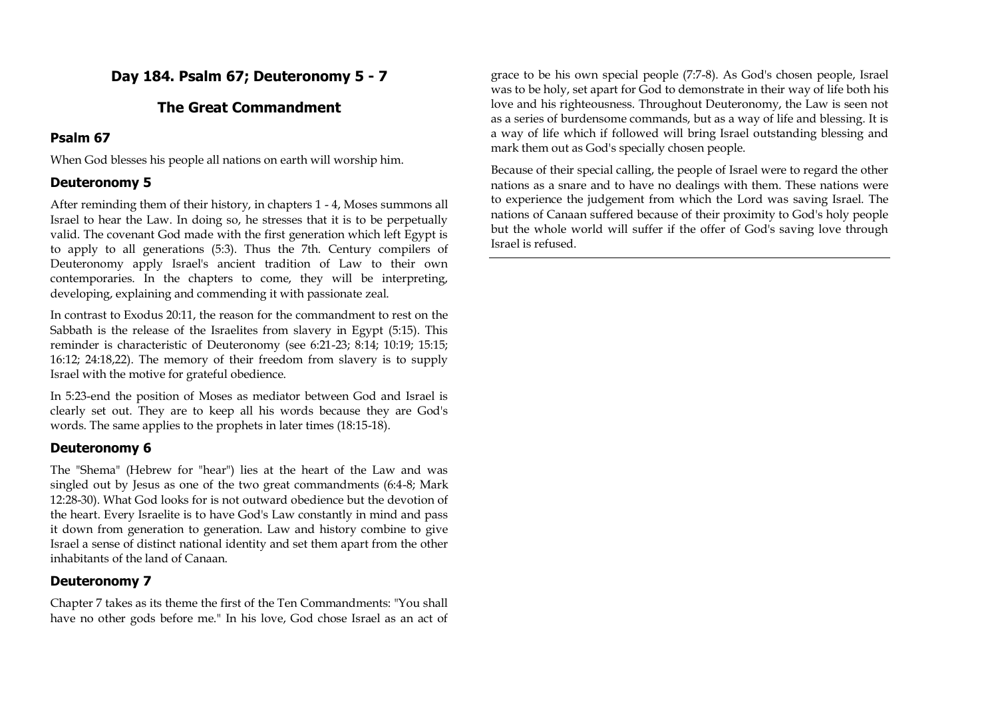# **Day 184. Psalm 67; Deuteronomy 5 - 7**

# **The Great Commandment**

# **Psalm 67**

When God blesses his people all nations on earth will worship him.

# **Deuteronomy 5**

After reminding them of their history, in chapters 1 - 4, Moses summons all Israel to hear the Law. In doing so, he stresses that it is to be perpetually valid. The covenant God made with the first generation which left Egypt is to apply to all generations (5:3). Thus the 7th. Century compilers of Deuteronomy apply Israel's ancient tradition of Law to their own contemporaries. In the chapters to come, they will be interpreting, developing, explaining and commending it with passionate zeal.

In contrast to Exodus 20:11, the reason for the commandment to rest on the Sabbath is the release of the Israelites from slavery in Egypt (5:15). This reminder is characteristic of Deuteronomy (see 6:21-23; 8:14; 10:19; 15:15; 16:12; 24:18,22). The memory of their freedom from slavery is to supply Israel with the motive for grateful obedience.

In 5:23-end the position of Moses as mediator between God and Israel is clearly set out. They are to keep all his words because they are God's words. The same applies to the prophets in later times (18:15-18).

# **Deuteronomy 6**

The "Shema" (Hebrew for "hear") lies at the heart of the Law and was singled out by Jesus as one of the two great commandments (6:4-8; Mark 12:28-30). What God looks for is not outward obedience but the devotion of the heart. Every Israelite is to have God's Law constantly in mind and pass it down from generation to generation. Law and history combine to give Israel a sense of distinct national identity and set them apart from the other inhabitants of the land of Canaan.

# **Deuteronomy 7**

Chapter 7 takes as its theme the first of the Ten Commandments: "You shall have no other gods before me." In his love, God chose Israel as an act of

grace to be his own special people (7:7-8). As God's chosen people, Israel was to be holy, set apart for God to demonstrate in their way of life both his love and his righteousness. Throughout Deuteronomy, the Law is seen not as a series of burdensome commands, but as a way of life and blessing. It is a way of life which if followed will bring Israel outstanding blessing and mark them out as God's specially chosen people.

Because of their special calling, the people of Israel were to regard the other nations as a snare and to have no dealings with them. These nations were to experience the judgement from which the Lord was saving Israel. The nations of Canaan suffered because of their proximity to God's holy people but the whole world will suffer if the offer of God's saving love through Israel is refused.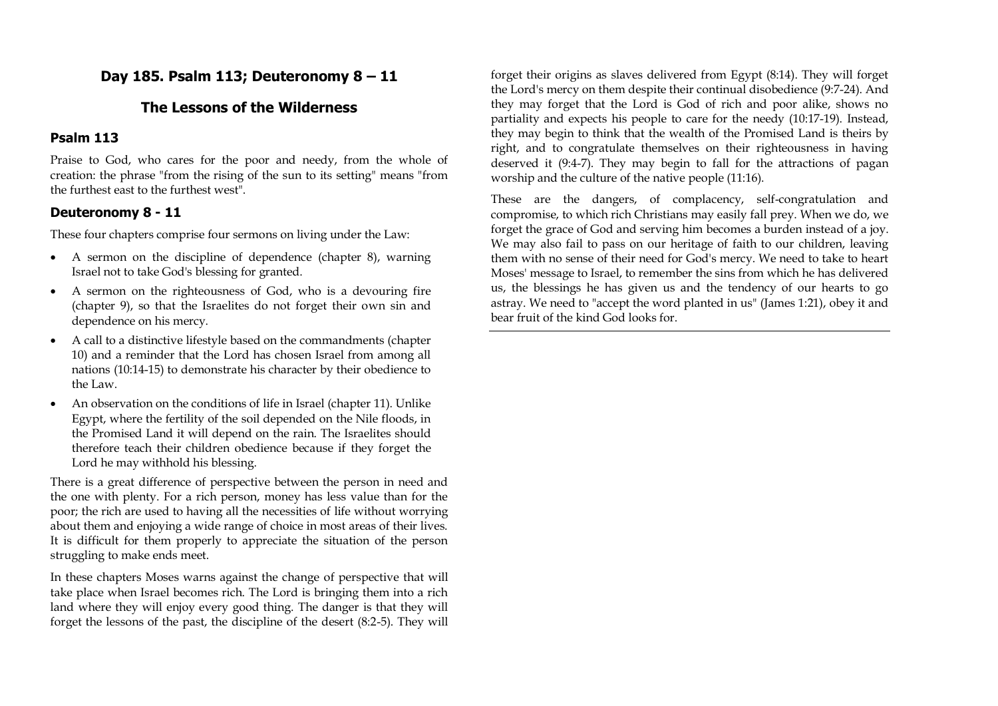# **Day 185. Psalm 113; Deuteronomy 8 – 11**

# **The Lessons of the Wilderness**

### **Psalm 113**

Praise to God, who cares for the poor and needy, from the whole of creation: the phrase "from the rising of the sun to its setting" means "from the furthest east to the furthest west".

## **Deuteronomy 8 - 11**

These four chapters comprise four sermons on living under the Law:

- A sermon on the discipline of dependence (chapter 8), warning Israel not to take God's blessing for granted.
- A sermon on the righteousness of God, who is a devouring fire (chapter 9), so that the Israelites do not forget their own sin and dependence on his mercy.
- A call to a distinctive lifestyle based on the commandments (chapter 10) and a reminder that the Lord has chosen Israel from among all nations (10:14-15) to demonstrate his character by their obedience to the Law.
- An observation on the conditions of life in Israel (chapter 11). Unlike Egypt, where the fertility of the soil depended on the Nile floods, in the Promised Land it will depend on the rain. The Israelites should therefore teach their children obedience because if they forget the Lord he may withhold his blessing.

There is a great difference of perspective between the person in need and the one with plenty. For a rich person, money has less value than for the poor; the rich are used to having all the necessities of life without worrying about them and enjoying a wide range of choice in most areas of their lives. It is difficult for them properly to appreciate the situation of the person struggling to make ends meet.

In these chapters Moses warns against the change of perspective that will take place when Israel becomes rich. The Lord is bringing them into a rich land where they will enjoy every good thing. The danger is that they will forget the lessons of the past, the discipline of the desert (8:2-5). They will

forget their origins as slaves delivered from Egypt (8:14). They will forget the Lord's mercy on them despite their continual disobedience (9:7-24). And they may forget that the Lord is God of rich and poor alike, shows no partiality and expects his people to care for the needy (10:17-19). Instead, they may begin to think that the wealth of the Promised Land is theirs by right, and to congratulate themselves on their righteousness in having deserved it (9:4-7). They may begin to fall for the attractions of pagan worship and the culture of the native people (11:16).

These are the dangers, of complacency, self-congratulation and compromise, to which rich Christians may easily fall prey. When we do, we forget the grace of God and serving him becomes a burden instead of a joy. We may also fail to pass on our heritage of faith to our children, leaving them with no sense of their need for God's mercy. We need to take to heart Moses' message to Israel, to remember the sins from which he has delivered us, the blessings he has given us and the tendency of our hearts to go astray. We need to "accept the word planted in us" (James 1:21), obey it and bear fruit of the kind God looks for.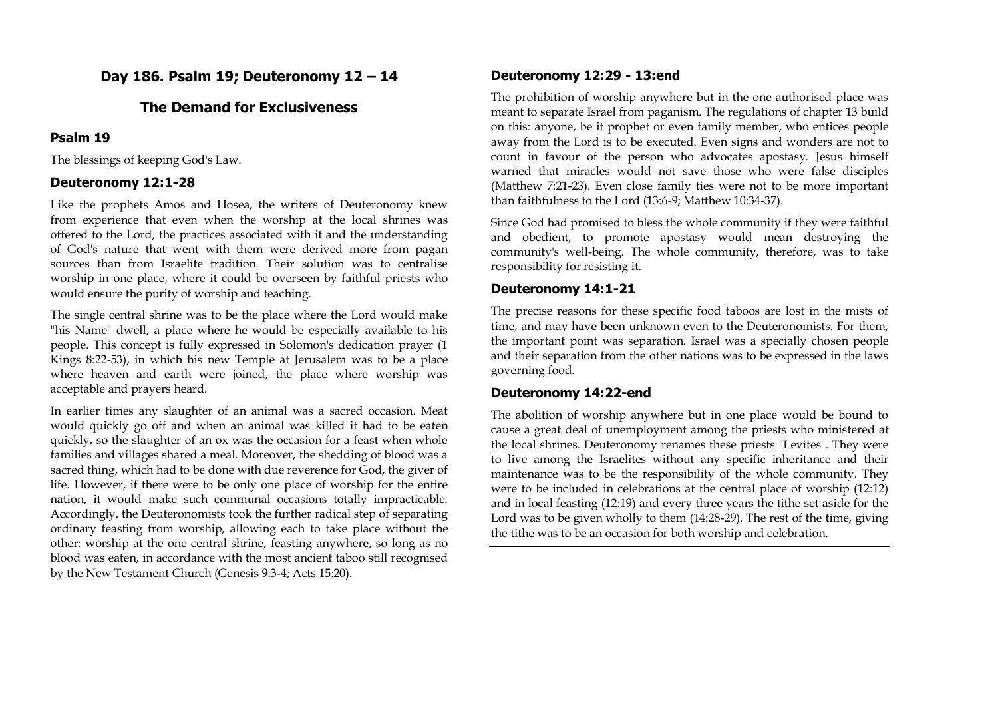# **Day 186. Psalm 19; Deuteronomy 12 – 14**

# **The Demand for Exclusiveness**

### **Psalm 19**

The blessings of keeping God's Law.

# **Deuteronomy 12:1-28**

Like the prophets Amos and Hosea, the writers of Deuteronomy knew from experience that even when the worship at the local shrines was offered to the Lord, the practices associated with it and the understanding of God's nature that went with them were derived more from pagan sources than from Israelite tradition. Their solution was to centralise worship in one place, where it could be overseen by faithful priests who would ensure the purity of worship and teaching.

The single central shrine was to be the place where the Lord would make "his Name" dwell, a place where he would be especially available to his people. This concept is fully expressed in Solomon's dedication prayer (1 Kings 8:22-53), in which his new Temple at Jerusalem was to be a place where heaven and earth were joined, the place where worship was acceptable and prayers heard.

In earlier times any slaughter of an animal was a sacred occasion. Meat would quickly go off and when an animal was killed it had to be eaten quickly, so the slaughter of an ox was the occasion for a feast when whole families and villages shared a meal. Moreover, the shedding of blood was a sacred thing, which had to be done with due reverence for God, the giver of life. However, if there were to be only one place of worship for the entire nation, it would make such communal occasions totally impracticable. Accordingly, the Deuteronomists took the further radical step of separating ordinary feasting from worship, allowing each to take place without the other: worship at the one central shrine, feasting anywhere, so long as no blood was eaten, in accordance with the most ancient taboo still recognised by the New Testament Church (Genesis 9:3-4; Acts 15:20).

# **Deuteronomy 12:29 - 13:end**

The prohibition of worship anywhere but in the one authorised place was meant to separate Israel from paganism. The regulations of chapter 13 build on this: anyone, be it prophet or even family member, who entices people away from the Lord is to be executed. Even signs and wonders are not to count in favour of the person who advocates apostasy. Jesus himself warned that miracles would not save those who were false disciples (Matthew 7:21-23). Even close family ties were not to be more important than faithfulness to the Lord (13:6-9; Matthew 10:34-37).

Since God had promised to bless the whole community if they were faithful and obedient, to promote apostasy would mean destroying the community's well-being. The whole community, therefore, was to take responsibility for resisting it.

## **Deuteronomy 14:1-21**

The precise reasons for these specific food taboos are lost in the mists of time, and may have been unknown even to the Deuteronomists. For them, the important point was separation. Israel was a specially chosen people and their separation from the other nations was to be expressed in the laws governing food.

## **Deuteronomy 14:22-end**

The abolition of worship anywhere but in one place would be bound to cause a great deal of unemployment among the priests who ministered at the local shrines. Deuteronomy renames these priests "Levites". They were to live among the Israelites without any specific inheritance and their maintenance was to be the responsibility of the whole community. They were to be included in celebrations at the central place of worship (12:12) and in local feasting (12:19) and every three years the tithe set aside for the Lord was to be given wholly to them (14:28-29). The rest of the time, giving the tithe was to be an occasion for both worship and celebration.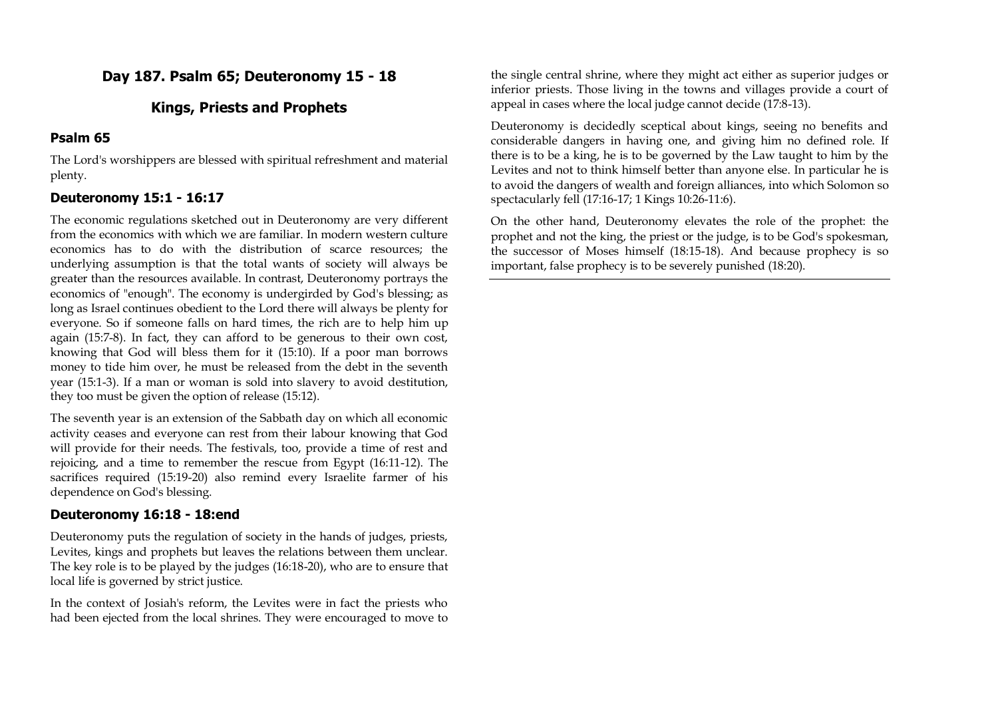# **Day 187. Psalm 65; Deuteronomy 15 - 18**

# **Kings, Priests and Prophets**

# **Psalm 65**

The Lord's worshippers are blessed with spiritual refreshment and material plenty.

# **Deuteronomy 15:1 - 16:17**

The economic regulations sketched out in Deuteronomy are very different from the economics with which we are familiar. In modern western culture economics has to do with the distribution of scarce resources; the underlying assumption is that the total wants of society will always be greater than the resources available. In contrast, Deuteronomy portrays the economics of "enough". The economy is undergirded by God's blessing; as long as Israel continues obedient to the Lord there will always be plenty for everyone. So if someone falls on hard times, the rich are to help him up again (15:7-8). In fact, they can afford to be generous to their own cost, knowing that God will bless them for it (15:10). If a poor man borrows money to tide him over, he must be released from the debt in the seventh year (15:1-3). If a man or woman is sold into slavery to avoid destitution, they too must be given the option of release (15:12).

The seventh year is an extension of the Sabbath day on which all economic activity ceases and everyone can rest from their labour knowing that God will provide for their needs. The festivals, too, provide a time of rest and rejoicing, and a time to remember the rescue from Egypt (16:11-12). The sacrifices required (15:19-20) also remind every Israelite farmer of his dependence on God's blessing.

# **Deuteronomy 16:18 - 18:end**

Deuteronomy puts the regulation of society in the hands of judges, priests, Levites, kings and prophets but leaves the relations between them unclear. The key role is to be played by the judges (16:18-20), who are to ensure that local life is governed by strict justice.

In the context of Josiah's reform, the Levites were in fact the priests who had been ejected from the local shrines. They were encouraged to move to

the single central shrine, where they might act either as superior judges or inferior priests. Those living in the towns and villages provide a court of appeal in cases where the local judge cannot decide (17:8-13).

Deuteronomy is decidedly sceptical about kings, seeing no benefits and considerable dangers in having one, and giving him no defined role. If there is to be a king, he is to be governed by the Law taught to him by the Levites and not to think himself better than anyone else. In particular he is to avoid the dangers of wealth and foreign alliances, into which Solomon so spectacularly fell (17:16-17; 1 Kings 10:26-11:6).

On the other hand, Deuteronomy elevates the role of the prophet: the prophet and not the king, the priest or the judge, is to be God's spokesman, the successor of Moses himself (18:15-18). And because prophecy is so important, false prophecy is to be severely punished (18:20).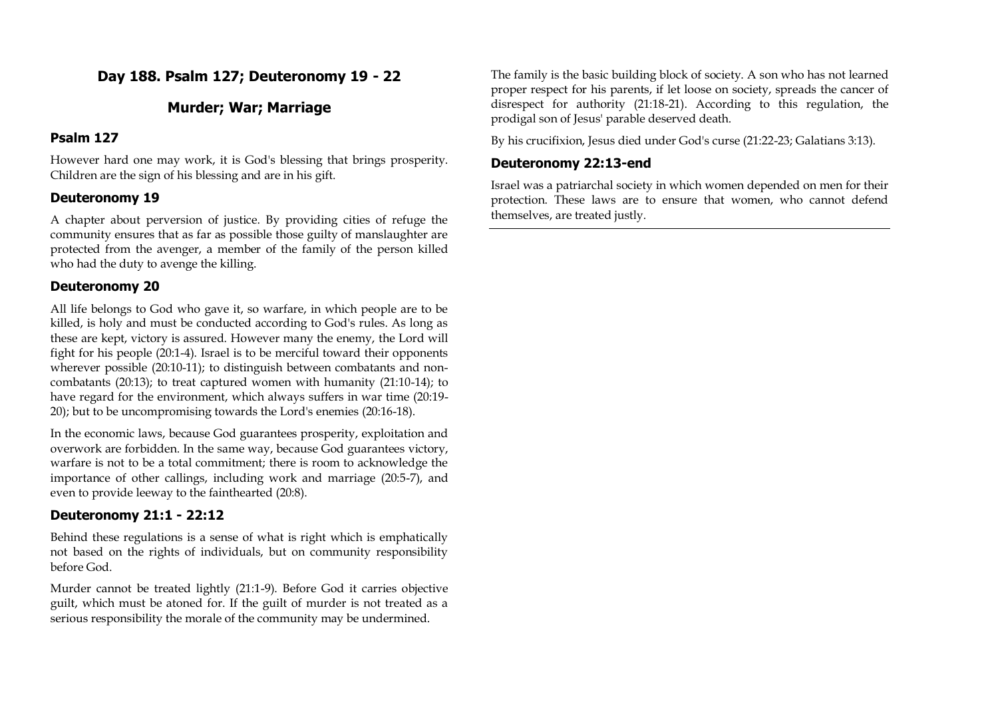# **Day 188. Psalm 127; Deuteronomy 19 - 22**

# **Murder; War; Marriage**

### **Psalm 127**

However hard one may work, it is God's blessing that brings prosperity. Children are the sign of his blessing and are in his gift.

## **Deuteronomy 19**

A chapter about perversion of justice. By providing cities of refuge the community ensures that as far as possible those guilty of manslaughter are protected from the avenger, a member of the family of the person killed who had the duty to avenge the killing.

### **Deuteronomy 20**

All life belongs to God who gave it, so warfare, in which people are to be killed, is holy and must be conducted according to God's rules. As long as these are kept, victory is assured. However many the enemy, the Lord will fight for his people (20:1-4). Israel is to be merciful toward their opponents wherever possible (20:10-11); to distinguish between combatants and noncombatants (20:13); to treat captured women with humanity (21:10-14); to have regard for the environment, which always suffers in war time (20:19- 20); but to be uncompromising towards the Lord's enemies (20:16-18).

In the economic laws, because God guarantees prosperity, exploitation and overwork are forbidden. In the same way, because God guarantees victory, warfare is not to be a total commitment; there is room to acknowledge the importance of other callings, including work and marriage (20:5-7), and even to provide leeway to the fainthearted (20:8).

# **Deuteronomy 21:1 - 22:12**

Behind these regulations is a sense of what is right which is emphatically not based on the rights of individuals, but on community responsibility before God.

Murder cannot be treated lightly (21:1-9). Before God it carries objective guilt, which must be atoned for. If the guilt of murder is not treated as a serious responsibility the morale of the community may be undermined.

The family is the basic building block of society. A son who has not learned proper respect for his parents, if let loose on society, spreads the cancer of disrespect for authority (21:18-21). According to this regulation, the prodigal son of Jesus' parable deserved death.

By his crucifixion, Jesus died under God's curse (21:22-23; Galatians 3:13).

### **Deuteronomy 22:13-end**

Israel was a patriarchal society in which women depended on men for their protection. These laws are to ensure that women, who cannot defend themselves, are treated justly.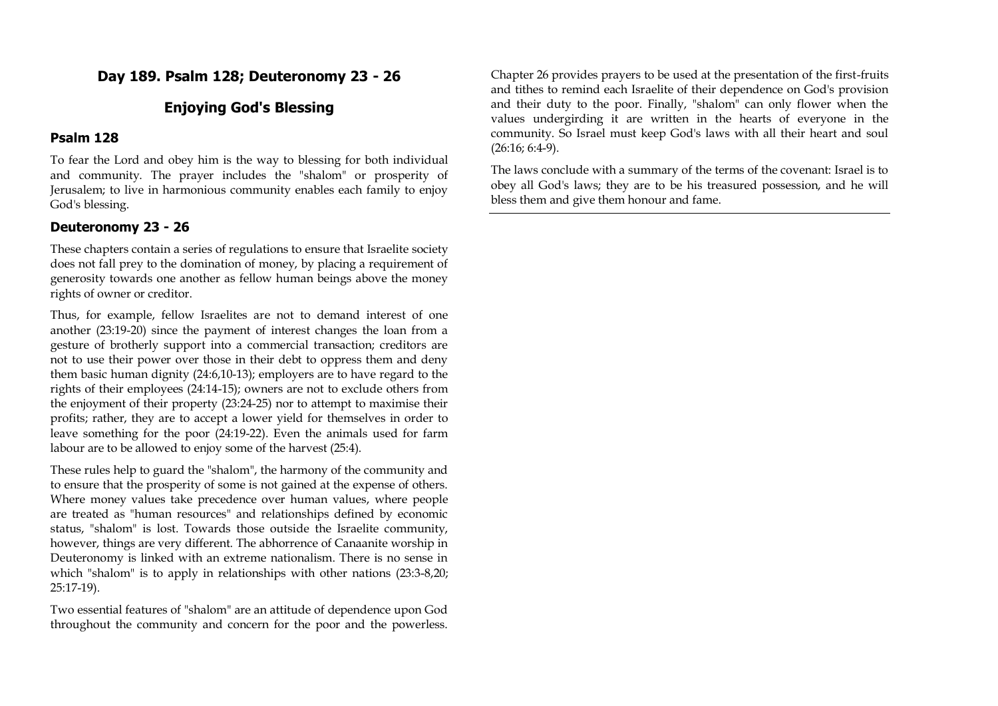# **Day 189. Psalm 128; Deuteronomy 23 - 26**

# **Enjoying God's Blessing**

#### **Psalm 128**

To fear the Lord and obey him is the way to blessing for both individual and community. The prayer includes the "shalom" or prosperity of Jerusalem; to live in harmonious community enables each family to enjoy God's blessing.

### **Deuteronomy 23 - 26**

These chapters contain a series of regulations to ensure that Israelite society does not fall prey to the domination of money, by placing a requirement of generosity towards one another as fellow human beings above the money rights of owner or creditor.

Thus, for example, fellow Israelites are not to demand interest of one another (23:19-20) since the payment of interest changes the loan from a gesture of brotherly support into a commercial transaction; creditors are not to use their power over those in their debt to oppress them and deny them basic human dignity (24:6,10-13); employers are to have regard to the rights of their employees (24:14-15); owners are not to exclude others from the enjoyment of their property (23:24-25) nor to attempt to maximise their profits; rather, they are to accept a lower yield for themselves in order to leave something for the poor (24:19-22). Even the animals used for farm labour are to be allowed to enjoy some of the harvest (25:4).

These rules help to guard the "shalom", the harmony of the community and to ensure that the prosperity of some is not gained at the expense of others. Where money values take precedence over human values, where people are treated as "human resources" and relationships defined by economic status, "shalom" is lost. Towards those outside the Israelite community, however, things are very different. The abhorrence of Canaanite worship in Deuteronomy is linked with an extreme nationalism. There is no sense in which "shalom" is to apply in relationships with other nations (23:3-8,20; 25:17-19).

Two essential features of "shalom" are an attitude of dependence upon God throughout the community and concern for the poor and the powerless.

Chapter 26 provides prayers to be used at the presentation of the first-fruits and tithes to remind each Israelite of their dependence on God's provision and their duty to the poor. Finally, "shalom" can only flower when the values undergirding it are written in the hearts of everyone in the community. So Israel must keep God's laws with all their heart and soul (26:16; 6:4-9).

The laws conclude with a summary of the terms of the covenant: Israel is to obey all God's laws; they are to be his treasured possession, and he will bless them and give them honour and fame.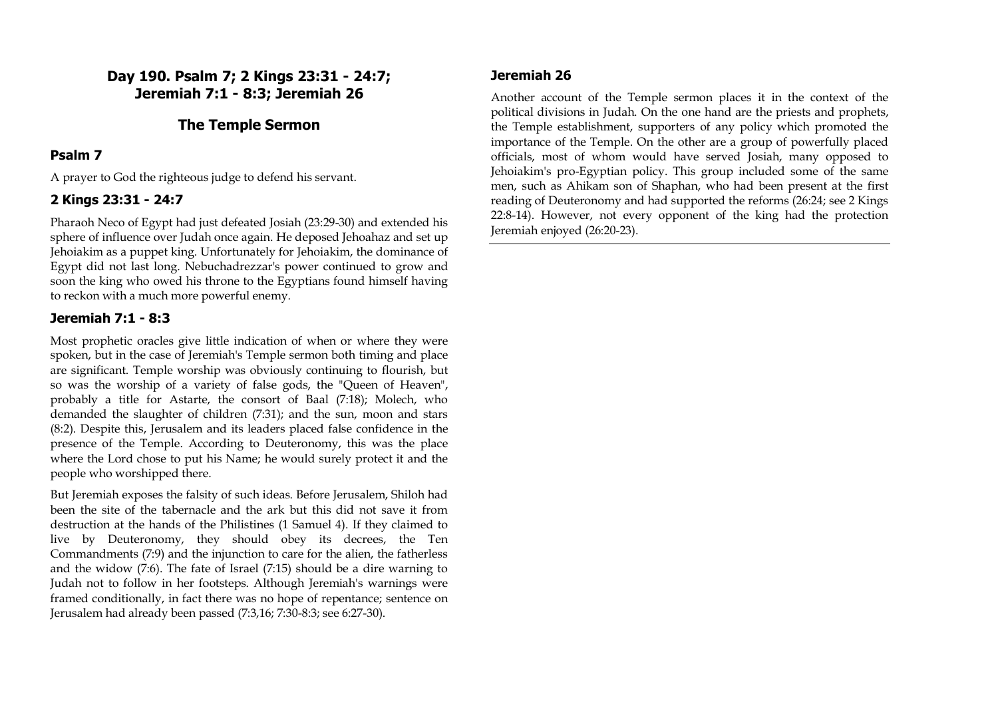**Day 190. Psalm 7; 2 Kings 23:31 - 24:7; Jeremiah 7:1 - 8:3; Jeremiah 26**

### **The Temple Sermon**

#### **Psalm 7**

A prayer to God the righteous judge to defend his servant.

### **2 Kings 23:31 - 24:7**

Pharaoh Neco of Egypt had just defeated Josiah (23:29-30) and extended his sphere of influence over Judah once again. He deposed Jehoahaz and set up Jehoiakim as a puppet king. Unfortunately for Jehoiakim, the dominance of Egypt did not last long. Nebuchadrezzar's power continued to grow and soon the king who owed his throne to the Egyptians found himself having to reckon with a much more powerful enemy.

### **Jeremiah 7:1 - 8:3**

Most prophetic oracles give little indication of when or where they were spoken, but in the case of Jeremiah's Temple sermon both timing and place are significant. Temple worship was obviously continuing to flourish, but so was the worship of a variety of false gods, the "Queen of Heaven", probably a title for Astarte, the consort of Baal (7:18); Molech, who demanded the slaughter of children (7:31); and the sun, moon and stars (8:2). Despite this, Jerusalem and its leaders placed false confidence in the presence of the Temple. According to Deuteronomy, this was the place where the Lord chose to put his Name; he would surely protect it and the people who worshipped there.

But Jeremiah exposes the falsity of such ideas. Before Jerusalem, Shiloh had been the site of the tabernacle and the ark but this did not save it from destruction at the hands of the Philistines (1 Samuel 4). If they claimed to live by Deuteronomy, they should obey its decrees, the Ten Commandments (7:9) and the injunction to care for the alien, the fatherless and the widow (7:6). The fate of Israel (7:15) should be a dire warning to Judah not to follow in her footsteps. Although Jeremiah's warnings were framed conditionally, in fact there was no hope of repentance; sentence on Jerusalem had already been passed (7:3,16; 7:30-8:3; see 6:27-30).

### **Jeremiah 26**

Another account of the Temple sermon places it in the context of the political divisions in Judah. On the one hand are the priests and prophets, the Temple establishment, supporters of any policy which promoted the importance of the Temple. On the other are a group of powerfully placed officials, most of whom would have served Josiah, many opposed to Jehoiakim's pro-Egyptian policy. This group included some of the same men, such as Ahikam son of Shaphan, who had been present at the first reading of Deuteronomy and had supported the reforms (26:24; see 2 Kings 22:8-14). However, not every opponent of the king had the protection Jeremiah enjoyed (26:20-23).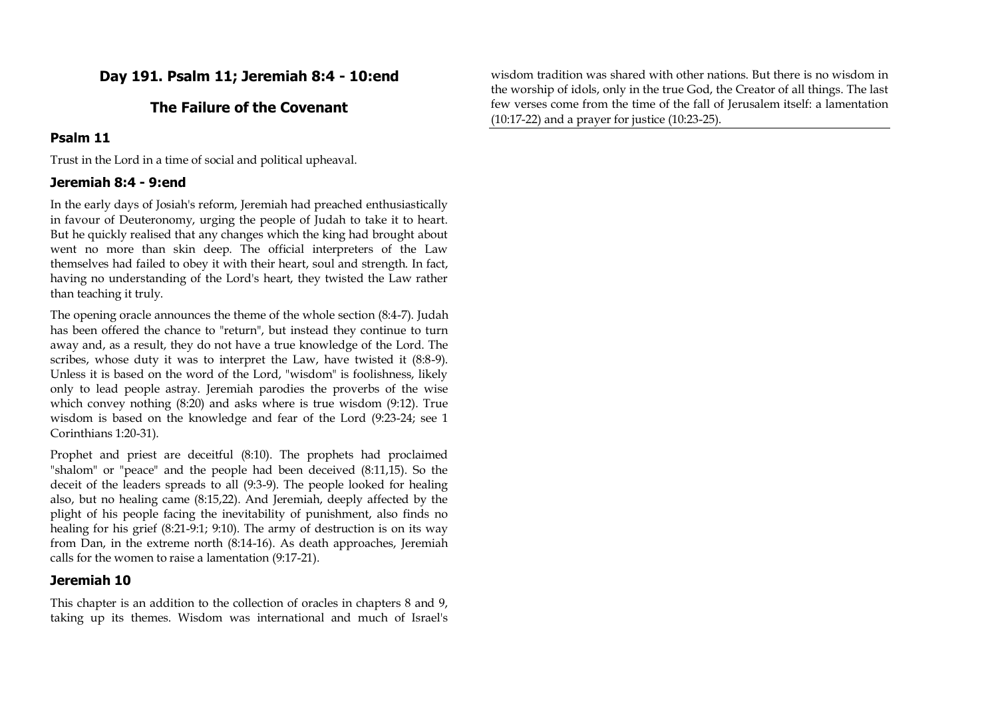# **Day 191. Psalm 11; Jeremiah 8:4 - 10:end**

# **The Failure of the Covenant**

### **Psalm 11**

Trust in the Lord in a time of social and political upheaval.

### **Jeremiah 8:4 - 9:end**

In the early days of Josiah's reform, Jeremiah had preached enthusiastically in favour of Deuteronomy, urging the people of Judah to take it to heart. But he quickly realised that any changes which the king had brought about went no more than skin deep. The official interpreters of the Law themselves had failed to obey it with their heart, soul and strength. In fact, having no understanding of the Lord's heart, they twisted the Law rather than teaching it truly.

The opening oracle announces the theme of the whole section (8:4-7). Judah has been offered the chance to "return", but instead they continue to turn away and, as a result, they do not have a true knowledge of the Lord. The scribes, whose duty it was to interpret the Law, have twisted it (8:8-9). Unless it is based on the word of the Lord, "wisdom" is foolishness, likely only to lead people astray. Jeremiah parodies the proverbs of the wise which convey nothing (8:20) and asks where is true wisdom (9:12). True wisdom is based on the knowledge and fear of the Lord (9:23-24; see 1 Corinthians 1:20-31).

Prophet and priest are deceitful (8:10). The prophets had proclaimed "shalom" or "peace" and the people had been deceived (8:11,15). So the deceit of the leaders spreads to all (9:3-9). The people looked for healing also, but no healing came (8:15,22). And Jeremiah, deeply affected by the plight of his people facing the inevitability of punishment, also finds no healing for his grief (8:21-9:1; 9:10). The army of destruction is on its way from Dan, in the extreme north (8:14-16). As death approaches, Jeremiah calls for the women to raise a lamentation (9:17-21).

### **Jeremiah 10**

This chapter is an addition to the collection of oracles in chapters 8 and 9, taking up its themes. Wisdom was international and much of Israel's

wisdom tradition was shared with other nations. But there is no wisdom in the worship of idols, only in the true God, the Creator of all things. The last few verses come from the time of the fall of Jerusalem itself: a lamentation (10:17-22) and a prayer for justice (10:23-25).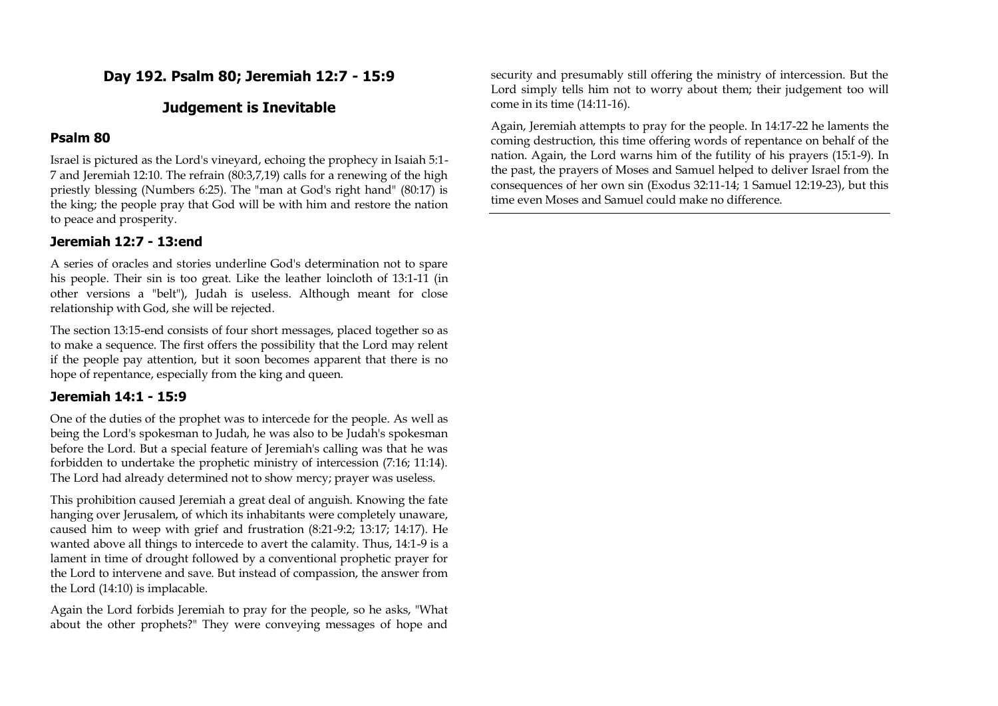# **Day 192. Psalm 80; Jeremiah 12:7 - 15:9**

# **Judgement is Inevitable**

### **Psalm 80**

Israel is pictured as the Lord's vineyard, echoing the prophecy in Isaiah 5:1- 7 and Jeremiah 12:10. The refrain (80:3,7,19) calls for a renewing of the high priestly blessing (Numbers 6:25). The "man at God's right hand" (80:17) is the king; the people pray that God will be with him and restore the nation to peace and prosperity.

### **Jeremiah 12:7 - 13:end**

A series of oracles and stories underline God's determination not to spare his people. Their sin is too great. Like the leather loincloth of 13:1-11 (in other versions a "belt"), Judah is useless. Although meant for close relationship with God, she will be rejected.

The section 13:15-end consists of four short messages, placed together so as to make a sequence. The first offers the possibility that the Lord may relent if the people pay attention, but it soon becomes apparent that there is no hope of repentance, especially from the king and queen.

## **Jeremiah 14:1 - 15:9**

One of the duties of the prophet was to intercede for the people. As well as being the Lord's spokesman to Judah, he was also to be Judah's spokesman before the Lord. But a special feature of Jeremiah's calling was that he was forbidden to undertake the prophetic ministry of intercession (7:16; 11:14). The Lord had already determined not to show mercy; prayer was useless.

This prohibition caused Jeremiah a great deal of anguish. Knowing the fate hanging over Jerusalem, of which its inhabitants were completely unaware, caused him to weep with grief and frustration (8:21-9:2; 13:17; 14:17). He wanted above all things to intercede to avert the calamity. Thus, 14:1-9 is a lament in time of drought followed by a conventional prophetic prayer for the Lord to intervene and save. But instead of compassion, the answer from the Lord (14:10) is implacable.

Again the Lord forbids Jeremiah to pray for the people, so he asks, "What about the other prophets?" They were conveying messages of hope and

security and presumably still offering the ministry of intercession. But the Lord simply tells him not to worry about them; their judgement too will come in its time (14:11-16).

Again, Jeremiah attempts to pray for the people. In 14:17-22 he laments the coming destruction, this time offering words of repentance on behalf of the nation. Again, the Lord warns him of the futility of his prayers (15:1-9). In the past, the prayers of Moses and Samuel helped to deliver Israel from the consequences of her own sin (Exodus 32:11-14; 1 Samuel 12:19-23), but this time even Moses and Samuel could make no difference.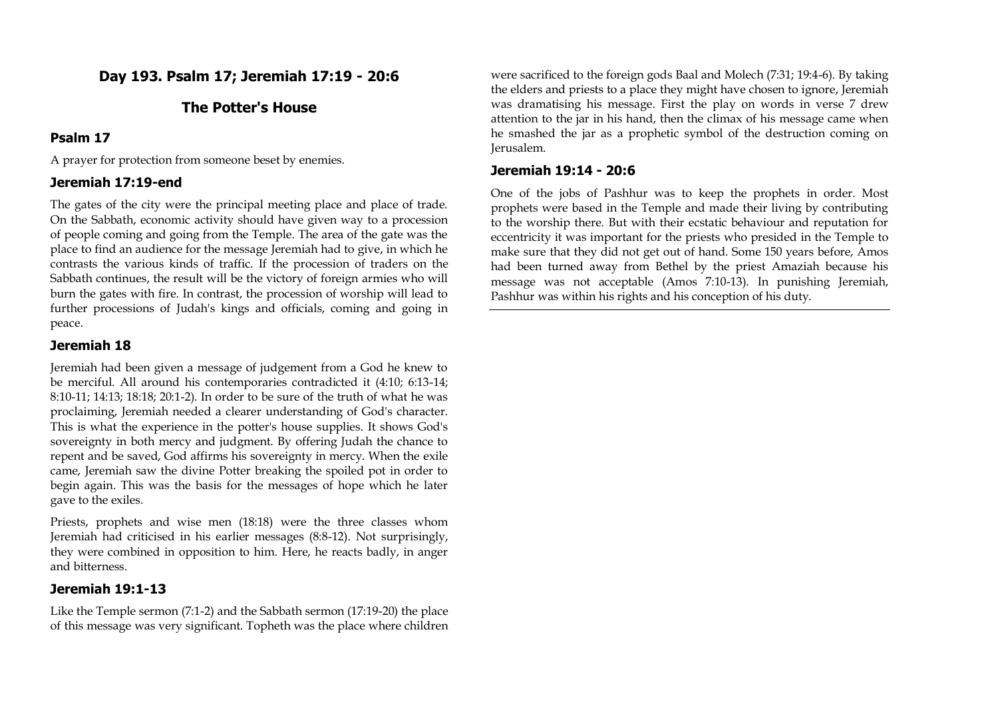**Day 193. Psalm 17; Jeremiah 17:19 - 20:6**

#### **The Potter's House**

#### **Psalm 17**

A prayer for protection from someone beset by enemies.

#### **Jeremiah 17:19-end**

The gates of the city were the principal meeting place and place of trade. On the Sabbath, economic activity should have given way to a procession of people coming and going from the Temple. The area of the gate was the place to find an audience for the message Jeremiah had to give, in which he contrasts the various kinds of traffic. If the procession of traders on the Sabbath continues, the result will be the victory of foreign armies who will burn the gates with fire. In contrast, the procession of worship will lead to further processions of Judah's kings and officials, coming and going in peace.

### **Jeremiah 18**

Jeremiah had been given a message of judgement from a God he knew to be merciful. All around his contemporaries contradicted it (4:10; 6:13-14; 8:10-11; 14:13; 18:18; 20:1-2). In order to be sure of the truth of what he was proclaiming, Jeremiah needed a clearer understanding of God's character. This is what the experience in the potter's house supplies. It shows God's sovereignty in both mercy and judgment. By offering Judah the chance to repent and be saved, God affirms his sovereignty in mercy. When the exile came, Jeremiah saw the divine Potter breaking the spoiled pot in order to begin again. This was the basis for the messages of hope which he later gave to the exiles.

Priests, prophets and wise men (18:18) were the three classes whom Jeremiah had criticised in his earlier messages (8:8-12). Not surprisingly, they were combined in opposition to him. Here, he reacts badly, in anger and bitterness.

#### **Jeremiah 19:1-13**

Like the Temple sermon (7:1-2) and the Sabbath sermon (17:19-20) the place of this message was very significant. Topheth was the place where children

were sacrificed to the foreign gods Baal and Molech (7:31; 19:4-6). By taking the elders and priests to a place they might have chosen to ignore, Jeremiah was dramatising his message. First the play on words in verse 7 drew attention to the jar in his hand, then the climax of his message came when he smashed the jar as a prophetic symbol of the destruction coming on Jerusalem.

#### **Jeremiah 19:14 - 20:6**

One of the jobs of Pashhur was to keep the prophets in order. Most prophets were based in the Temple and made their living by contributing to the worship there. But with their ecstatic behaviour and reputation for eccentricity it was important for the priests who presided in the Temple to make sure that they did not get out of hand. Some 150 years before, Amos had been turned away from Bethel by the priest Amaziah because his message was not acceptable (Amos 7:10-13). In punishing Jeremiah, Pashhur was within his rights and his conception of his duty.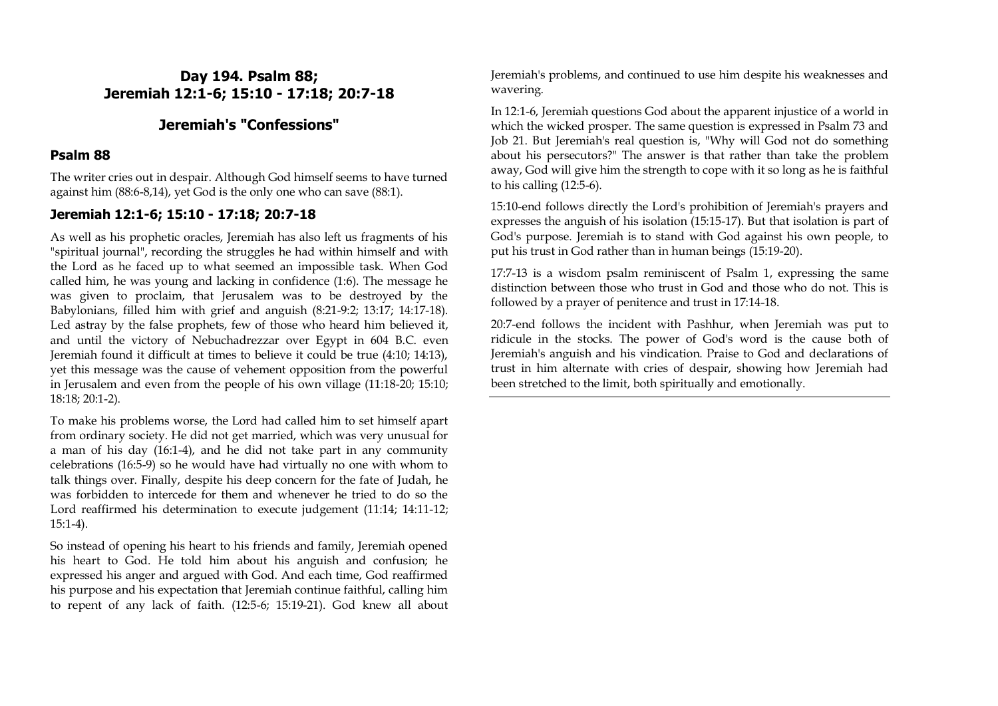# **Day 194. Psalm 88; Jeremiah 12:1-6; 15:10 - 17:18; 20:7-18**

# **Jeremiah's "Confessions"**

### **Psalm 88**

The writer cries out in despair. Although God himself seems to have turned against him (88:6-8,14), yet God is the only one who can save (88:1).

### **Jeremiah 12:1-6; 15:10 - 17:18; 20:7-18**

As well as his prophetic oracles, Jeremiah has also left us fragments of his "spiritual journal", recording the struggles he had within himself and with the Lord as he faced up to what seemed an impossible task. When God called him, he was young and lacking in confidence (1:6). The message he was given to proclaim, that Jerusalem was to be destroyed by the Babylonians, filled him with grief and anguish (8:21-9:2; 13:17; 14:17-18). Led astray by the false prophets, few of those who heard him believed it, and until the victory of Nebuchadrezzar over Egypt in 604 B.C. even Jeremiah found it difficult at times to believe it could be true (4:10; 14:13), yet this message was the cause of vehement opposition from the powerful in Jerusalem and even from the people of his own village (11:18-20; 15:10; 18:18; 20:1-2).

To make his problems worse, the Lord had called him to set himself apart from ordinary society. He did not get married, which was very unusual for a man of his day (16:1-4), and he did not take part in any community celebrations (16:5-9) so he would have had virtually no one with whom to talk things over. Finally, despite his deep concern for the fate of Judah, he was forbidden to intercede for them and whenever he tried to do so the Lord reaffirmed his determination to execute judgement (11:14; 14:11-12; 15:1-4).

So instead of opening his heart to his friends and family, Jeremiah opened his heart to God. He told him about his anguish and confusion; he expressed his anger and argued with God. And each time, God reaffirmed his purpose and his expectation that Jeremiah continue faithful, calling him to repent of any lack of faith. (12:5-6; 15:19-21). God knew all about Jeremiah's problems, and continued to use him despite his weaknesses and wavering.

In 12:1-6, Jeremiah questions God about the apparent injustice of a world in which the wicked prosper. The same question is expressed in Psalm 73 and Job 21. But Jeremiah's real question is, "Why will God not do something about his persecutors?" The answer is that rather than take the problem away, God will give him the strength to cope with it so long as he is faithful to his calling (12:5-6).

15:10-end follows directly the Lord's prohibition of Jeremiah's prayers and expresses the anguish of his isolation (15:15-17). But that isolation is part of God's purpose. Jeremiah is to stand with God against his own people, to put his trust in God rather than in human beings (15:19-20).

17:7-13 is a wisdom psalm reminiscent of Psalm 1, expressing the same distinction between those who trust in God and those who do not. This is followed by a prayer of penitence and trust in 17:14-18.

20:7-end follows the incident with Pashhur, when Jeremiah was put to ridicule in the stocks. The power of God's word is the cause both of Jeremiah's anguish and his vindication. Praise to God and declarations of trust in him alternate with cries of despair, showing how Jeremiah had been stretched to the limit, both spiritually and emotionally.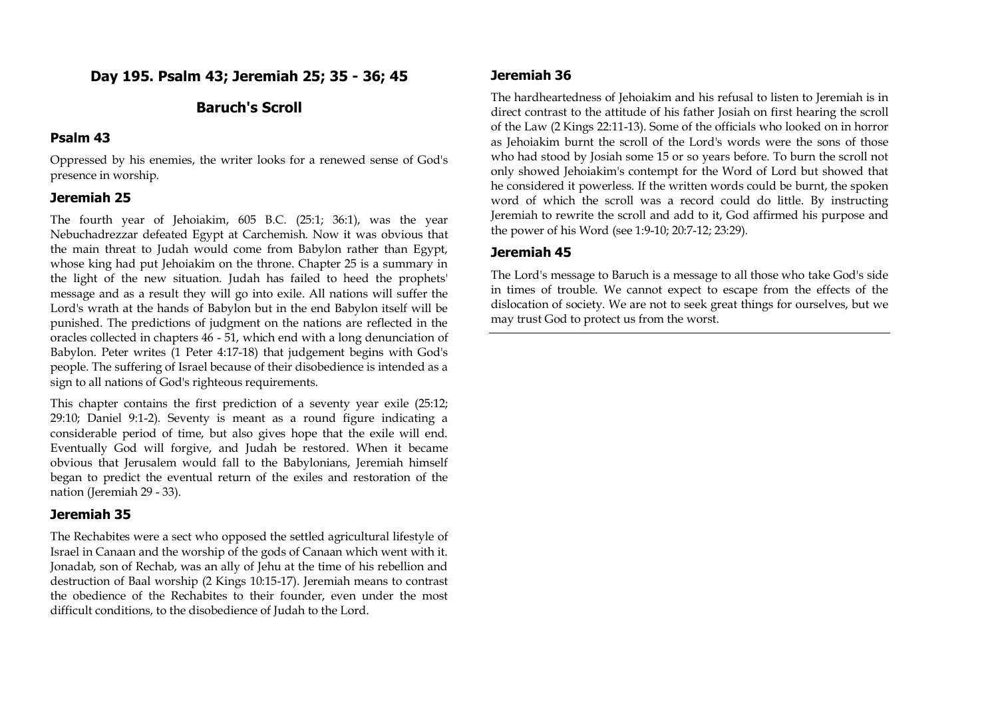# **Day 195. Psalm 43; Jeremiah 25; 35 - 36; 45**

# **Baruch's Scroll**

#### **Psalm 43**

Oppressed by his enemies, the writer looks for a renewed sense of God's presence in worship.

### **Jeremiah 25**

The fourth year of Jehoiakim, 605 B.C. (25:1; 36:1), was the year Nebuchadrezzar defeated Egypt at Carchemish. Now it was obvious that the main threat to Judah would come from Babylon rather than Egypt, whose king had put Jehoiakim on the throne. Chapter 25 is a summary in the light of the new situation. Judah has failed to heed the prophets' message and as a result they will go into exile. All nations will suffer the Lord's wrath at the hands of Babylon but in the end Babylon itself will be punished. The predictions of judgment on the nations are reflected in the oracles collected in chapters 46 - 51, which end with a long denunciation of Babylon. Peter writes (1 Peter 4:17-18) that judgement begins with God's people. The suffering of Israel because of their disobedience is intended as a sign to all nations of God's righteous requirements.

This chapter contains the first prediction of a seventy year exile (25:12; 29:10; Daniel 9:1-2). Seventy is meant as a round figure indicating a considerable period of time, but also gives hope that the exile will end. Eventually God will forgive, and Judah be restored. When it became obvious that Jerusalem would fall to the Babylonians, Jeremiah himself began to predict the eventual return of the exiles and restoration of the nation (Jeremiah 29 - 33).

#### **Jeremiah 35**

The Rechabites were a sect who opposed the settled agricultural lifestyle of Israel in Canaan and the worship of the gods of Canaan which went with it. Jonadab, son of Rechab, was an ally of Jehu at the time of his rebellion and destruction of Baal worship (2 Kings 10:15-17). Jeremiah means to contrast the obedience of the Rechabites to their founder, even under the most difficult conditions, to the disobedience of Judah to the Lord.

#### **Jeremiah 36**

The hardheartedness of Jehoiakim and his refusal to listen to Jeremiah is in direct contrast to the attitude of his father Josiah on first hearing the scroll of the Law (2 Kings 22:11-13). Some of the officials who looked on in horror as Jehoiakim burnt the scroll of the Lord's words were the sons of those who had stood by Josiah some 15 or so years before. To burn the scroll not only showed Jehoiakim's contempt for the Word of Lord but showed that he considered it powerless. If the written words could be burnt, the spoken word of which the scroll was a record could do little. By instructing Jeremiah to rewrite the scroll and add to it, God affirmed his purpose and the power of his Word (see 1:9-10; 20:7-12; 23:29).

#### **Jeremiah 45**

The Lord's message to Baruch is a message to all those who take God's side in times of trouble. We cannot expect to escape from the effects of the dislocation of society. We are not to seek great things for ourselves, but we may trust God to protect us from the worst.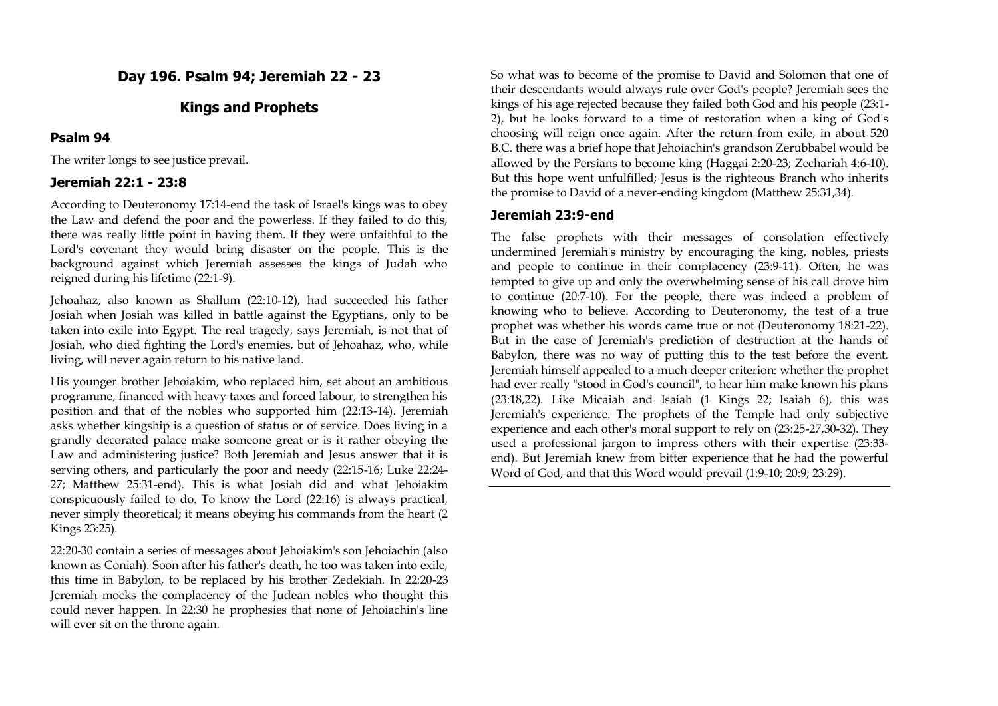**Day 196. Psalm 94; Jeremiah 22 - 23**

### **Kings and Prophets**

#### **Psalm 94**

The writer longs to see justice prevail.

### **Jeremiah 22:1 - 23:8**

According to Deuteronomy 17:14-end the task of Israel's kings was to obey the Law and defend the poor and the powerless. If they failed to do this, there was really little point in having them. If they were unfaithful to the Lord's covenant they would bring disaster on the people. This is the background against which Jeremiah assesses the kings of Judah who reigned during his lifetime (22:1-9).

Jehoahaz, also known as Shallum (22:10-12), had succeeded his father Josiah when Josiah was killed in battle against the Egyptians, only to be taken into exile into Egypt. The real tragedy, says Jeremiah, is not that of Josiah, who died fighting the Lord's enemies, but of Jehoahaz, who, while living, will never again return to his native land.

His younger brother Jehoiakim, who replaced him, set about an ambitious programme, financed with heavy taxes and forced labour, to strengthen his position and that of the nobles who supported him (22:13-14). Jeremiah asks whether kingship is a question of status or of service. Does living in a grandly decorated palace make someone great or is it rather obeying the Law and administering justice? Both Jeremiah and Jesus answer that it is serving others, and particularly the poor and needy (22:15-16; Luke 22:24- 27; Matthew 25:31-end). This is what Josiah did and what Jehoiakim conspicuously failed to do. To know the Lord (22:16) is always practical, never simply theoretical; it means obeying his commands from the heart (2 Kings 23:25).

22:20-30 contain a series of messages about Jehoiakim's son Jehoiachin (also known as Coniah). Soon after his father's death, he too was taken into exile, this time in Babylon, to be replaced by his brother Zedekiah. In 22:20-23 Jeremiah mocks the complacency of the Judean nobles who thought this could never happen. In 22:30 he prophesies that none of Jehoiachin's line will ever sit on the throne again.

So what was to become of the promise to David and Solomon that one of their descendants would always rule over God's people? Jeremiah sees the kings of his age rejected because they failed both God and his people (23:1- 2), but he looks forward to a time of restoration when a king of God's choosing will reign once again. After the return from exile, in about 520 B.C. there was a brief hope that Jehoiachin's grandson Zerubbabel would be allowed by the Persians to become king (Haggai 2:20-23; Zechariah 4:6-10). But this hope went unfulfilled; Jesus is the righteous Branch who inherits the promise to David of a never-ending kingdom (Matthew 25:31,34).

### **Jeremiah 23:9-end**

The false prophets with their messages of consolation effectively undermined Jeremiah's ministry by encouraging the king, nobles, priests and people to continue in their complacency (23:9-11). Often, he was tempted to give up and only the overwhelming sense of his call drove him to continue (20:7-10). For the people, there was indeed a problem of knowing who to believe. According to Deuteronomy, the test of a true prophet was whether his words came true or not (Deuteronomy 18:21-22). But in the case of Jeremiah's prediction of destruction at the hands of Babylon, there was no way of putting this to the test before the event. Jeremiah himself appealed to a much deeper criterion: whether the prophet had ever really "stood in God's council", to hear him make known his plans (23:18,22). Like Micaiah and Isaiah (1 Kings 22; Isaiah 6), this was Jeremiah's experience. The prophets of the Temple had only subjective experience and each other's moral support to rely on (23:25-27,30-32). They used a professional jargon to impress others with their expertise (23:33 end). But Jeremiah knew from bitter experience that he had the powerful Word of God, and that this Word would prevail (1:9-10; 20:9; 23:29).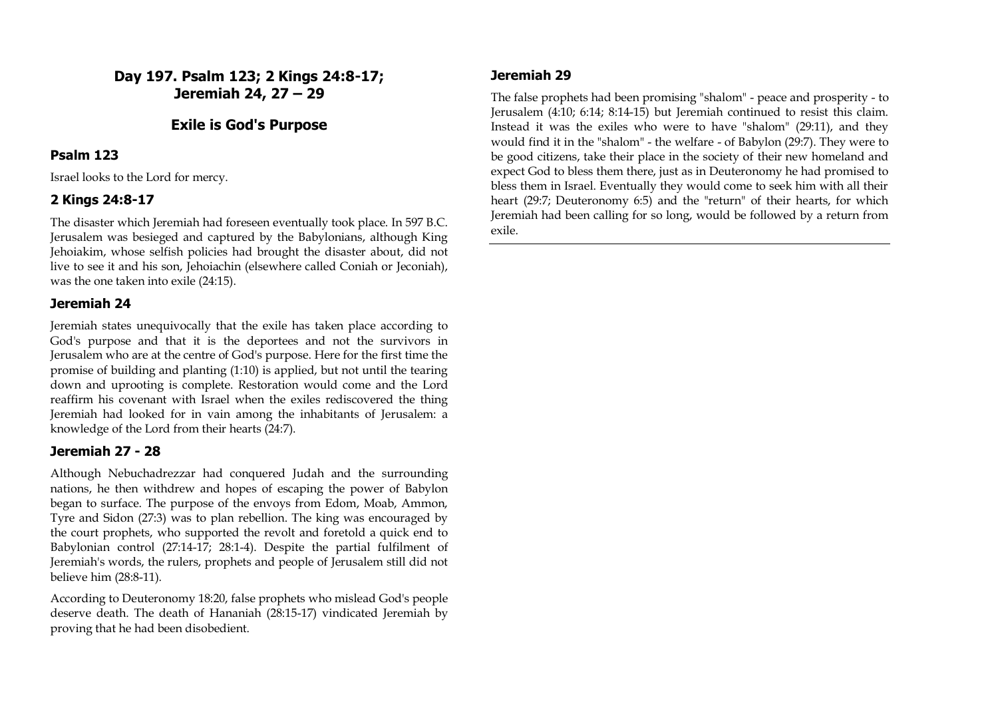**Day 197. Psalm 123; 2 Kings 24:8-17; Jeremiah 24, 27 – 29**

### **Exile is God's Purpose**

#### **Psalm 123**

Israel looks to the Lord for mercy.

### **2 Kings 24:8-17**

The disaster which Jeremiah had foreseen eventually took place. In 597 B.C. Jerusalem was besieged and captured by the Babylonians, although King Jehoiakim, whose selfish policies had brought the disaster about, did not live to see it and his son, Jehoiachin (elsewhere called Coniah or Jeconiah), was the one taken into exile (24:15).

### **Jeremiah 24**

Jeremiah states unequivocally that the exile has taken place according to God's purpose and that it is the deportees and not the survivors in Jerusalem who are at the centre of God's purpose. Here for the first time the promise of building and planting (1:10) is applied, but not until the tearing down and uprooting is complete. Restoration would come and the Lord reaffirm his covenant with Israel when the exiles rediscovered the thing Jeremiah had looked for in vain among the inhabitants of Jerusalem: a knowledge of the Lord from their hearts (24:7).

### **Jeremiah 27 - 28**

Although Nebuchadrezzar had conquered Judah and the surrounding nations, he then withdrew and hopes of escaping the power of Babylon began to surface. The purpose of the envoys from Edom, Moab, Ammon, Tyre and Sidon (27:3) was to plan rebellion. The king was encouraged by the court prophets, who supported the revolt and foretold a quick end to Babylonian control (27:14-17; 28:1-4). Despite the partial fulfilment of Jeremiah's words, the rulers, prophets and people of Jerusalem still did not believe him (28:8-11).

According to Deuteronomy 18:20, false prophets who mislead God's people deserve death. The death of Hananiah (28:15-17) vindicated Jeremiah by proving that he had been disobedient.

### **Jeremiah 29**

The false prophets had been promising "shalom" - peace and prosperity - to Jerusalem (4:10; 6:14; 8:14-15) but Jeremiah continued to resist this claim. Instead it was the exiles who were to have "shalom" (29:11), and they would find it in the "shalom" - the welfare - of Babylon (29:7). They were to be good citizens, take their place in the society of their new homeland and expect God to bless them there, just as in Deuteronomy he had promised to bless them in Israel. Eventually they would come to seek him with all their heart (29:7; Deuteronomy 6:5) and the "return" of their hearts, for which Jeremiah had been calling for so long, would be followed by a return from exile.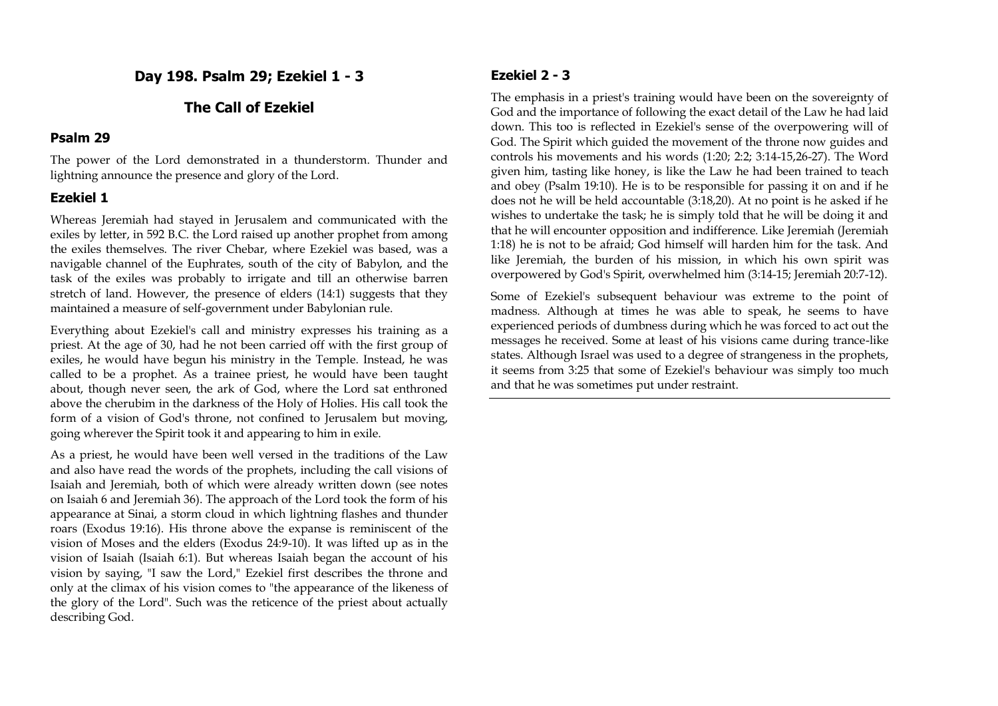**Day 198. Psalm 29; Ezekiel 1 - 3**

# **The Call of Ezekiel**

#### **Psalm 29**

The power of the Lord demonstrated in a thunderstorm. Thunder and lightning announce the presence and glory of the Lord.

## **Ezekiel 1**

Whereas Jeremiah had stayed in Jerusalem and communicated with the exiles by letter, in 592 B.C. the Lord raised up another prophet from among the exiles themselves. The river Chebar, where Ezekiel was based, was a navigable channel of the Euphrates, south of the city of Babylon, and the task of the exiles was probably to irrigate and till an otherwise barren stretch of land. However, the presence of elders (14:1) suggests that they maintained a measure of self-government under Babylonian rule.

Everything about Ezekiel's call and ministry expresses his training as a priest. At the age of 30, had he not been carried off with the first group of exiles, he would have begun his ministry in the Temple. Instead, he was called to be a prophet. As a trainee priest, he would have been taught about, though never seen, the ark of God, where the Lord sat enthroned above the cherubim in the darkness of the Holy of Holies. His call took the form of a vision of God's throne, not confined to Jerusalem but moving, going wherever the Spirit took it and appearing to him in exile.

As a priest, he would have been well versed in the traditions of the Law and also have read the words of the prophets, including the call visions of Isaiah and Jeremiah, both of which were already written down (see notes on Isaiah 6 and Jeremiah 36). The approach of the Lord took the form of his appearance at Sinai, a storm cloud in which lightning flashes and thunder roars (Exodus 19:16). His throne above the expanse is reminiscent of the vision of Moses and the elders (Exodus 24:9-10). It was lifted up as in the vision of Isaiah (Isaiah 6:1). But whereas Isaiah began the account of his vision by saying, "I saw the Lord," Ezekiel first describes the throne and only at the climax of his vision comes to "the appearance of the likeness of the glory of the Lord". Such was the reticence of the priest about actually describing God.

# **Ezekiel 2 - 3**

The emphasis in a priest's training would have been on the sovereignty of God and the importance of following the exact detail of the Law he had laid down. This too is reflected in Ezekiel's sense of the overpowering will of God. The Spirit which guided the movement of the throne now guides and controls his movements and his words (1:20; 2:2; 3:14-15,26-27). The Word given him, tasting like honey, is like the Law he had been trained to teach and obey (Psalm 19:10). He is to be responsible for passing it on and if he does not he will be held accountable (3:18,20). At no point is he asked if he wishes to undertake the task; he is simply told that he will be doing it and that he will encounter opposition and indifference. Like Jeremiah (Jeremiah 1:18) he is not to be afraid; God himself will harden him for the task. And like Jeremiah, the burden of his mission, in which his own spirit was overpowered by God's Spirit, overwhelmed him (3:14-15; Jeremiah 20:7-12).

Some of Ezekiel's subsequent behaviour was extreme to the point of madness. Although at times he was able to speak, he seems to have experienced periods of dumbness during which he was forced to act out the messages he received. Some at least of his visions came during trance-like states. Although Israel was used to a degree of strangeness in the prophets, it seems from 3:25 that some of Ezekiel's behaviour was simply too much and that he was sometimes put under restraint.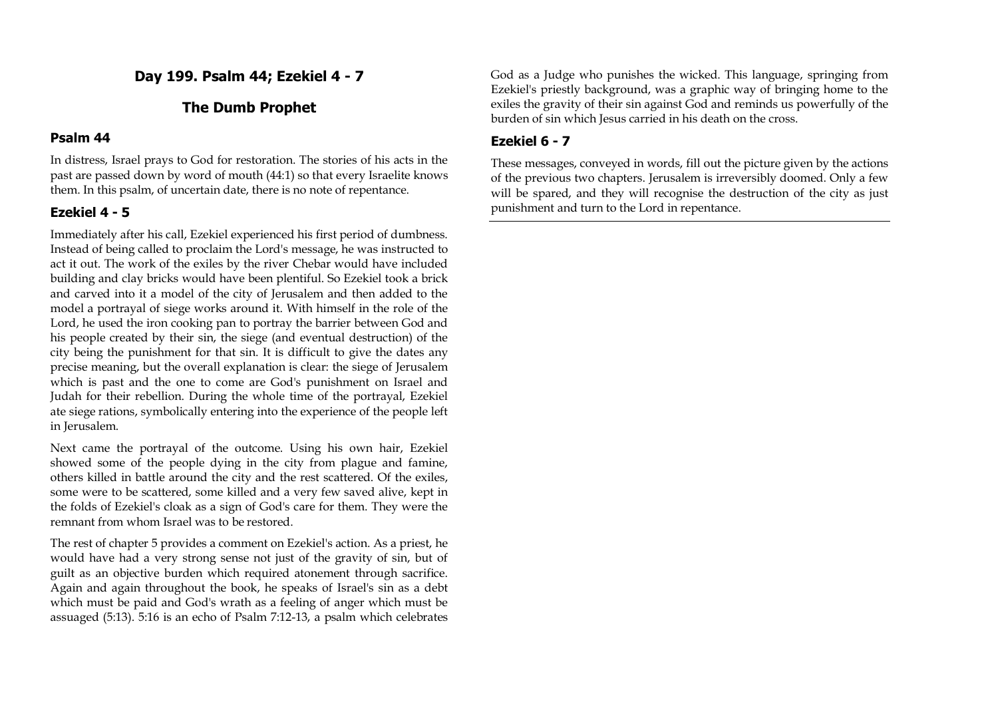**Day 199. Psalm 44; Ezekiel 4 - 7**

# **The Dumb Prophet**

### **Psalm 44**

In distress, Israel prays to God for restoration. The stories of his acts in the past are passed down by word of mouth (44:1) so that every Israelite knows them. In this psalm, of uncertain date, there is no note of repentance.

# **Ezekiel 4 - 5**

Immediately after his call, Ezekiel experienced his first period of dumbness. Instead of being called to proclaim the Lord's message, he was instructed to act it out. The work of the exiles by the river Chebar would have included building and clay bricks would have been plentiful. So Ezekiel took a brick and carved into it a model of the city of Jerusalem and then added to the model a portrayal of siege works around it. With himself in the role of the Lord, he used the iron cooking pan to portray the barrier between God and his people created by their sin, the siege (and eventual destruction) of the city being the punishment for that sin. It is difficult to give the dates any precise meaning, but the overall explanation is clear: the siege of Jerusalem which is past and the one to come are God's punishment on Israel and Judah for their rebellion. During the whole time of the portrayal, Ezekiel ate siege rations, symbolically entering into the experience of the people left in Jerusalem.

Next came the portrayal of the outcome. Using his own hair, Ezekiel showed some of the people dying in the city from plague and famine, others killed in battle around the city and the rest scattered. Of the exiles, some were to be scattered, some killed and a very few saved alive, kept in the folds of Ezekiel's cloak as a sign of God's care for them. They were the remnant from whom Israel was to be restored.

The rest of chapter 5 provides a comment on Ezekiel's action. As a priest, he would have had a very strong sense not just of the gravity of sin, but of guilt as an objective burden which required atonement through sacrifice. Again and again throughout the book, he speaks of Israel's sin as a debt which must be paid and God's wrath as a feeling of anger which must be assuaged (5:13). 5:16 is an echo of Psalm 7:12-13, a psalm which celebrates God as a Judge who punishes the wicked. This language, springing from Ezekiel's priestly background, was a graphic way of bringing home to the exiles the gravity of their sin against God and reminds us powerfully of the burden of sin which Jesus carried in his death on the cross.

# **Ezekiel 6 - 7**

These messages, conveyed in words, fill out the picture given by the actions of the previous two chapters. Jerusalem is irreversibly doomed. Only a few will be spared, and they will recognise the destruction of the city as just punishment and turn to the Lord in repentance.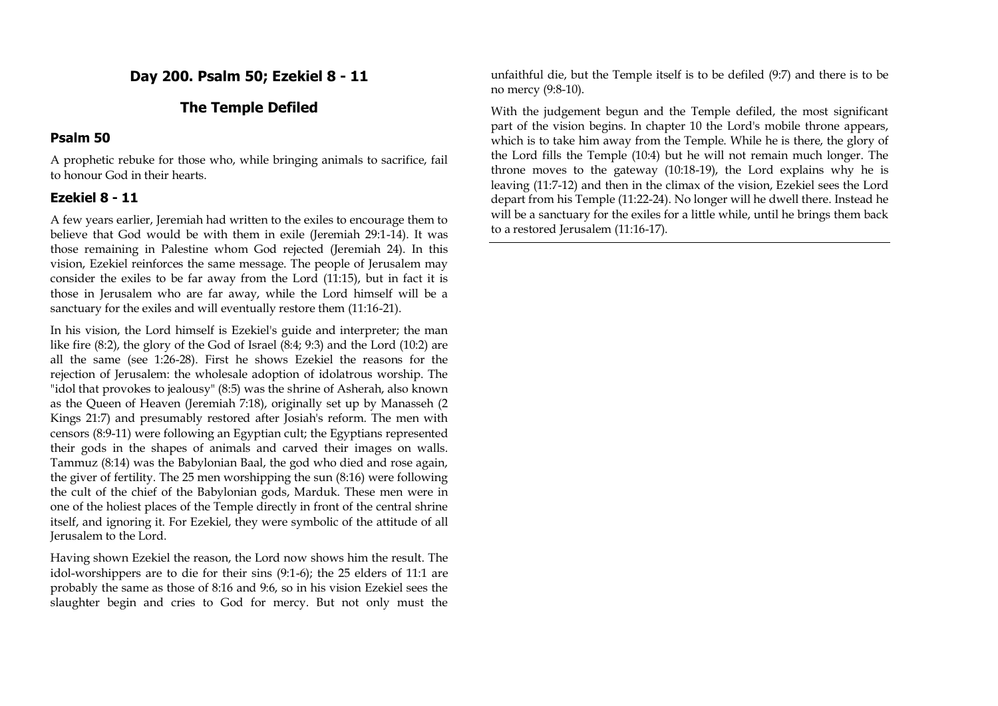## **Day 200. Psalm 50; Ezekiel 8 - 11**

## **The Temple Defiled**

### **Psalm 50**

A prophetic rebuke for those who, while bringing animals to sacrifice, fail to honour God in their hearts.

## **Ezekiel 8 - 11**

A few years earlier, Jeremiah had written to the exiles to encourage them to believe that God would be with them in exile (Jeremiah 29:1-14). It was those remaining in Palestine whom God rejected (Jeremiah 24). In this vision, Ezekiel reinforces the same message. The people of Jerusalem may consider the exiles to be far away from the Lord (11:15), but in fact it is those in Jerusalem who are far away, while the Lord himself will be a sanctuary for the exiles and will eventually restore them (11:16-21).

In his vision, the Lord himself is Ezekiel's guide and interpreter; the man like fire (8:2), the glory of the God of Israel (8:4; 9:3) and the Lord (10:2) are all the same (see 1:26-28). First he shows Ezekiel the reasons for the rejection of Jerusalem: the wholesale adoption of idolatrous worship. The "idol that provokes to jealousy" (8:5) was the shrine of Asherah, also known as the Queen of Heaven (Jeremiah 7:18), originally set up by Manasseh (2 Kings 21:7) and presumably restored after Josiah's reform. The men with censors (8:9-11) were following an Egyptian cult; the Egyptians represented their gods in the shapes of animals and carved their images on walls. Tammuz (8:14) was the Babylonian Baal, the god who died and rose again, the giver of fertility. The 25 men worshipping the sun (8:16) were following the cult of the chief of the Babylonian gods, Marduk. These men were in one of the holiest places of the Temple directly in front of the central shrine itself, and ignoring it. For Ezekiel, they were symbolic of the attitude of all Jerusalem to the Lord.

Having shown Ezekiel the reason, the Lord now shows him the result. The idol-worshippers are to die for their sins (9:1-6); the 25 elders of 11:1 are probably the same as those of 8:16 and 9:6, so in his vision Ezekiel sees the slaughter begin and cries to God for mercy. But not only must the

unfaithful die, but the Temple itself is to be defiled (9:7) and there is to be no mercy (9:8-10).

With the judgement begun and the Temple defiled, the most significant part of the vision begins. In chapter 10 the Lord's mobile throne appears, which is to take him away from the Temple. While he is there, the glory of the Lord fills the Temple (10:4) but he will not remain much longer. The throne moves to the gateway (10:18-19), the Lord explains why he is leaving (11:7-12) and then in the climax of the vision, Ezekiel sees the Lord depart from his Temple (11:22-24). No longer will he dwell there. Instead he will be a sanctuary for the exiles for a little while, until he brings them back to a restored Jerusalem (11:16-17).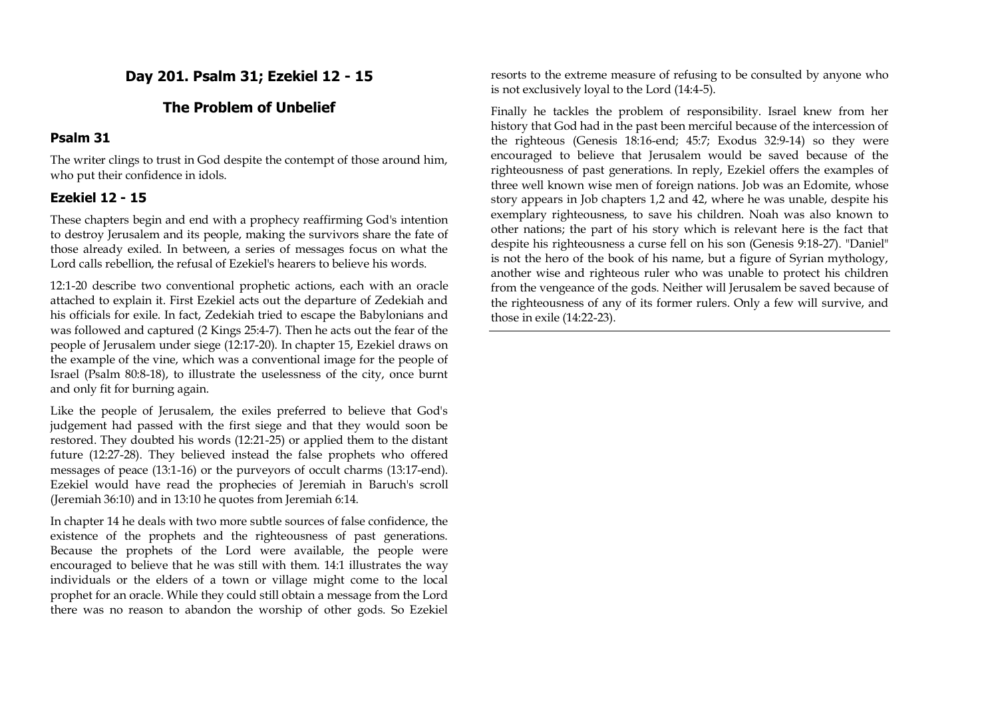# **Day 201. Psalm 31; Ezekiel 12 - 15**

# **The Problem of Unbelief**

## **Psalm 31**

The writer clings to trust in God despite the contempt of those around him, who put their confidence in idols.

# **Ezekiel 12 - 15**

These chapters begin and end with a prophecy reaffirming God's intention to destroy Jerusalem and its people, making the survivors share the fate of those already exiled. In between, a series of messages focus on what the Lord calls rebellion, the refusal of Ezekiel's hearers to believe his words.

12:1-20 describe two conventional prophetic actions, each with an oracle attached to explain it. First Ezekiel acts out the departure of Zedekiah and his officials for exile. In fact, Zedekiah tried to escape the Babylonians and was followed and captured (2 Kings 25:4-7). Then he acts out the fear of the people of Jerusalem under siege (12:17-20). In chapter 15, Ezekiel draws on the example of the vine, which was a conventional image for the people of Israel (Psalm 80:8-18), to illustrate the uselessness of the city, once burnt and only fit for burning again.

Like the people of Jerusalem, the exiles preferred to believe that God's judgement had passed with the first siege and that they would soon be restored. They doubted his words (12:21-25) or applied them to the distant future (12:27-28). They believed instead the false prophets who offered messages of peace (13:1-16) or the purveyors of occult charms (13:17-end). Ezekiel would have read the prophecies of Jeremiah in Baruch's scroll (Jeremiah 36:10) and in 13:10 he quotes from Jeremiah 6:14.

In chapter 14 he deals with two more subtle sources of false confidence, the existence of the prophets and the righteousness of past generations. Because the prophets of the Lord were available, the people were encouraged to believe that he was still with them. 14:1 illustrates the way individuals or the elders of a town or village might come to the local prophet for an oracle. While they could still obtain a message from the Lord there was no reason to abandon the worship of other gods. So Ezekiel resorts to the extreme measure of refusing to be consulted by anyone who is not exclusively loyal to the Lord (14:4-5).

Finally he tackles the problem of responsibility. Israel knew from her history that God had in the past been merciful because of the intercession of the righteous (Genesis 18:16-end; 45:7; Exodus 32:9-14) so they were encouraged to believe that Jerusalem would be saved because of the righteousness of past generations. In reply, Ezekiel offers the examples of three well known wise men of foreign nations. Job was an Edomite, whose story appears in Job chapters 1,2 and 42, where he was unable, despite his exemplary righteousness, to save his children. Noah was also known to other nations; the part of his story which is relevant here is the fact that despite his righteousness a curse fell on his son (Genesis 9:18-27). "Daniel" is not the hero of the book of his name, but a figure of Syrian mythology, another wise and righteous ruler who was unable to protect his children from the vengeance of the gods. Neither will Jerusalem be saved because of the righteousness of any of its former rulers. Only a few will survive, and those in exile (14:22-23).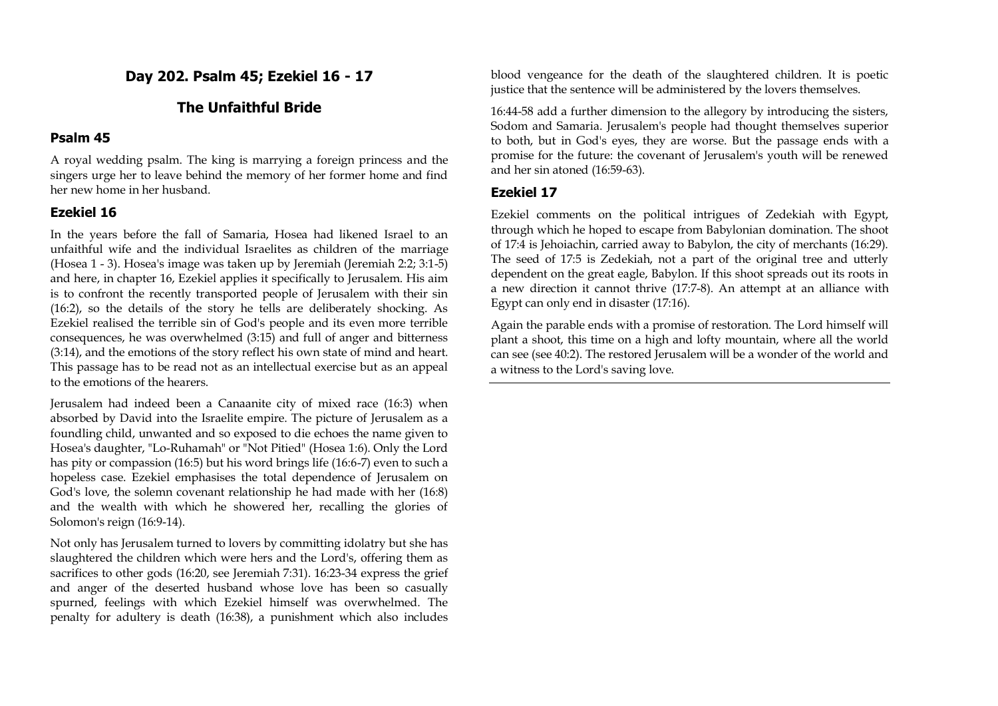**Day 202. Psalm 45; Ezekiel 16 - 17**

## **The Unfaithful Bride**

#### **Psalm 45**

A royal wedding psalm. The king is marrying a foreign princess and the singers urge her to leave behind the memory of her former home and find her new home in her husband.

### **Ezekiel 16**

In the years before the fall of Samaria, Hosea had likened Israel to an unfaithful wife and the individual Israelites as children of the marriage (Hosea 1 - 3). Hosea's image was taken up by Jeremiah (Jeremiah 2:2; 3:1-5) and here, in chapter 16, Ezekiel applies it specifically to Jerusalem. His aim is to confront the recently transported people of Jerusalem with their sin (16:2), so the details of the story he tells are deliberately shocking. As Ezekiel realised the terrible sin of God's people and its even more terrible consequences, he was overwhelmed (3:15) and full of anger and bitterness (3:14), and the emotions of the story reflect his own state of mind and heart. This passage has to be read not as an intellectual exercise but as an appeal to the emotions of the hearers.

Jerusalem had indeed been a Canaanite city of mixed race (16:3) when absorbed by David into the Israelite empire. The picture of Jerusalem as a foundling child, unwanted and so exposed to die echoes the name given to Hosea's daughter, "Lo-Ruhamah" or "Not Pitied" (Hosea 1:6). Only the Lord has pity or compassion (16:5) but his word brings life (16:6-7) even to such a hopeless case. Ezekiel emphasises the total dependence of Jerusalem on God's love, the solemn covenant relationship he had made with her (16:8) and the wealth with which he showered her, recalling the glories of Solomon's reign (16:9-14).

Not only has Jerusalem turned to lovers by committing idolatry but she has slaughtered the children which were hers and the Lord's, offering them as sacrifices to other gods (16:20, see Jeremiah 7:31). 16:23-34 express the grief and anger of the deserted husband whose love has been so casually spurned, feelings with which Ezekiel himself was overwhelmed. The penalty for adultery is death (16:38), a punishment which also includes

blood vengeance for the death of the slaughtered children. It is poetic justice that the sentence will be administered by the lovers themselves.

16:44-58 add a further dimension to the allegory by introducing the sisters, Sodom and Samaria. Jerusalem's people had thought themselves superior to both, but in God's eyes, they are worse. But the passage ends with a promise for the future: the covenant of Jerusalem's youth will be renewed and her sin atoned (16:59-63).

#### **Ezekiel 17**

Ezekiel comments on the political intrigues of Zedekiah with Egypt, through which he hoped to escape from Babylonian domination. The shoot of 17:4 is Jehoiachin, carried away to Babylon, the city of merchants (16:29). The seed of 17:5 is Zedekiah, not a part of the original tree and utterly dependent on the great eagle, Babylon. If this shoot spreads out its roots in a new direction it cannot thrive (17:7-8). An attempt at an alliance with Egypt can only end in disaster (17:16).

Again the parable ends with a promise of restoration. The Lord himself will plant a shoot, this time on a high and lofty mountain, where all the world can see (see 40:2). The restored Jerusalem will be a wonder of the world and a witness to the Lord's saving love.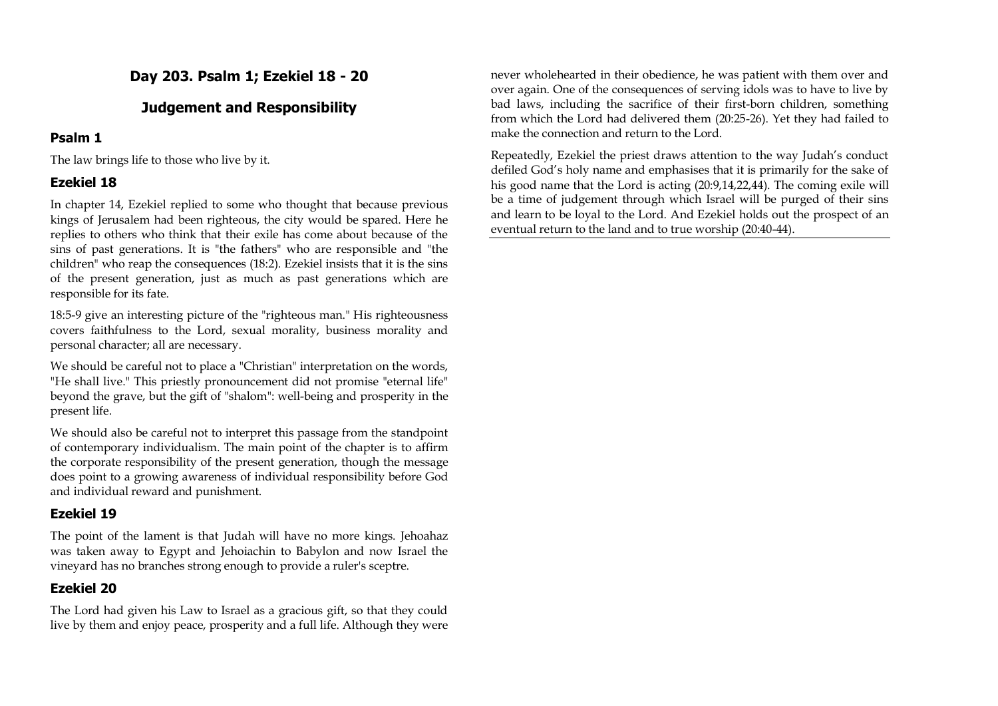# **Day 203. Psalm 1; Ezekiel 18 - 20**

# **Judgement and Responsibility**

# **Psalm 1**

The law brings life to those who live by it.

# **Ezekiel 18**

In chapter 14, Ezekiel replied to some who thought that because previous kings of Jerusalem had been righteous, the city would be spared. Here he replies to others who think that their exile has come about because of the sins of past generations. It is "the fathers" who are responsible and "the children" who reap the consequences (18:2). Ezekiel insists that it is the sins of the present generation, just as much as past generations which are responsible for its fate.

18:5-9 give an interesting picture of the "righteous man." His righteousness covers faithfulness to the Lord, sexual morality, business morality and personal character; all are necessary.

We should be careful not to place a "Christian" interpretation on the words, "He shall live." This priestly pronouncement did not promise "eternal life" beyond the grave, but the gift of "shalom": well-being and prosperity in the present life.

We should also be careful not to interpret this passage from the standpoint of contemporary individualism. The main point of the chapter is to affirm the corporate responsibility of the present generation, though the message does point to a growing awareness of individual responsibility before God and individual reward and punishment.

# **Ezekiel 19**

The point of the lament is that Judah will have no more kings. Jehoahaz was taken away to Egypt and Jehoiachin to Babylon and now Israel the vineyard has no branches strong enough to provide a ruler's sceptre.

# **Ezekiel 20**

The Lord had given his Law to Israel as a gracious gift, so that they could live by them and enjoy peace, prosperity and a full life. Although they were never wholehearted in their obedience, he was patient with them over and over again. One of the consequences of serving idols was to have to live by bad laws, including the sacrifice of their first-born children, something from which the Lord had delivered them (20:25-26). Yet they had failed to make the connection and return to the Lord.

Repeatedly, Ezekiel the priest draws attention to the way Judah's conduct defiled God's holy name and emphasises that it is primarily for the sake of his good name that the Lord is acting (20:9,14,22,44). The coming exile will be a time of judgement through which Israel will be purged of their sins and learn to be loyal to the Lord. And Ezekiel holds out the prospect of an eventual return to the land and to true worship (20:40-44).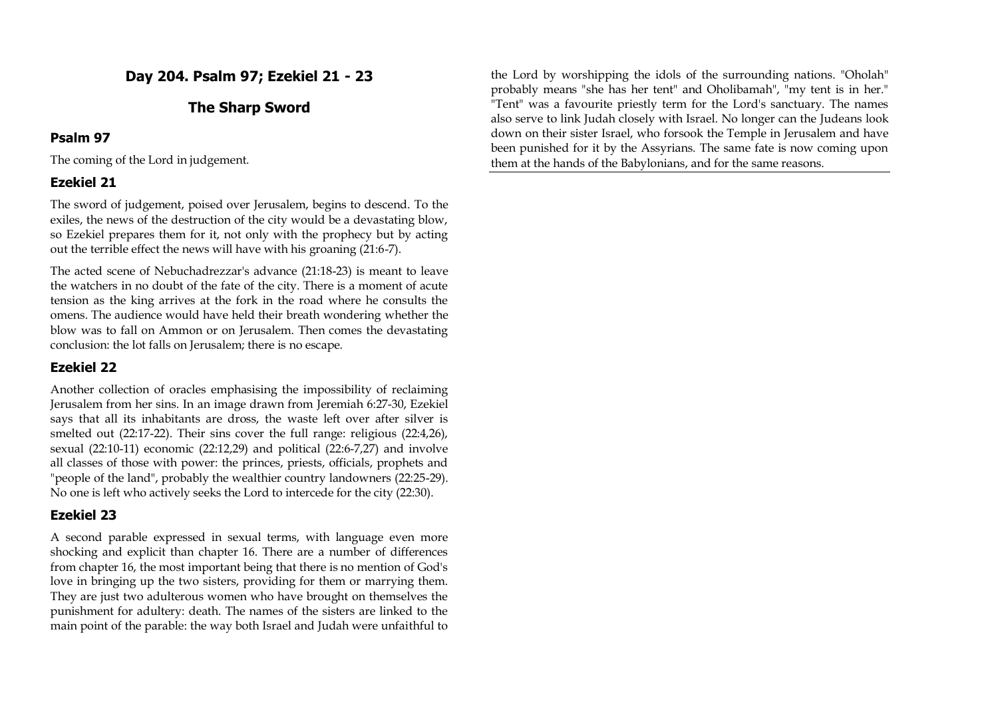# **Day 204. Psalm 97; Ezekiel 21 - 23**

# **The Sharp Sword**

### **Psalm 97**

The coming of the Lord in judgement.

## **Ezekiel 21**

The sword of judgement, poised over Jerusalem, begins to descend. To the exiles, the news of the destruction of the city would be a devastating blow, so Ezekiel prepares them for it, not only with the prophecy but by acting out the terrible effect the news will have with his groaning (21:6-7).

The acted scene of Nebuchadrezzar's advance (21:18-23) is meant to leave the watchers in no doubt of the fate of the city. There is a moment of acute tension as the king arrives at the fork in the road where he consults the omens. The audience would have held their breath wondering whether the blow was to fall on Ammon or on Jerusalem. Then comes the devastating conclusion: the lot falls on Jerusalem; there is no escape.

## **Ezekiel 22**

Another collection of oracles emphasising the impossibility of reclaiming Jerusalem from her sins. In an image drawn from Jeremiah 6:27-30, Ezekiel says that all its inhabitants are dross, the waste left over after silver is smelted out (22:17-22). Their sins cover the full range: religious (22:4,26), sexual (22:10-11) economic (22:12,29) and political (22:6-7,27) and involve all classes of those with power: the princes, priests, officials, prophets and "people of the land", probably the wealthier country landowners (22:25-29). No one is left who actively seeks the Lord to intercede for the city (22:30).

# **Ezekiel 23**

A second parable expressed in sexual terms, with language even more shocking and explicit than chapter 16. There are a number of differences from chapter 16, the most important being that there is no mention of God's love in bringing up the two sisters, providing for them or marrying them. They are just two adulterous women who have brought on themselves the punishment for adultery: death. The names of the sisters are linked to the main point of the parable: the way both Israel and Judah were unfaithful to the Lord by worshipping the idols of the surrounding nations. "Oholah" probably means "she has her tent" and Oholibamah", "my tent is in her." "Tent" was a favourite priestly term for the Lord's sanctuary. The names also serve to link Judah closely with Israel. No longer can the Judeans look down on their sister Israel, who forsook the Temple in Jerusalem and have been punished for it by the Assyrians. The same fate is now coming upon them at the hands of the Babylonians, and for the same reasons.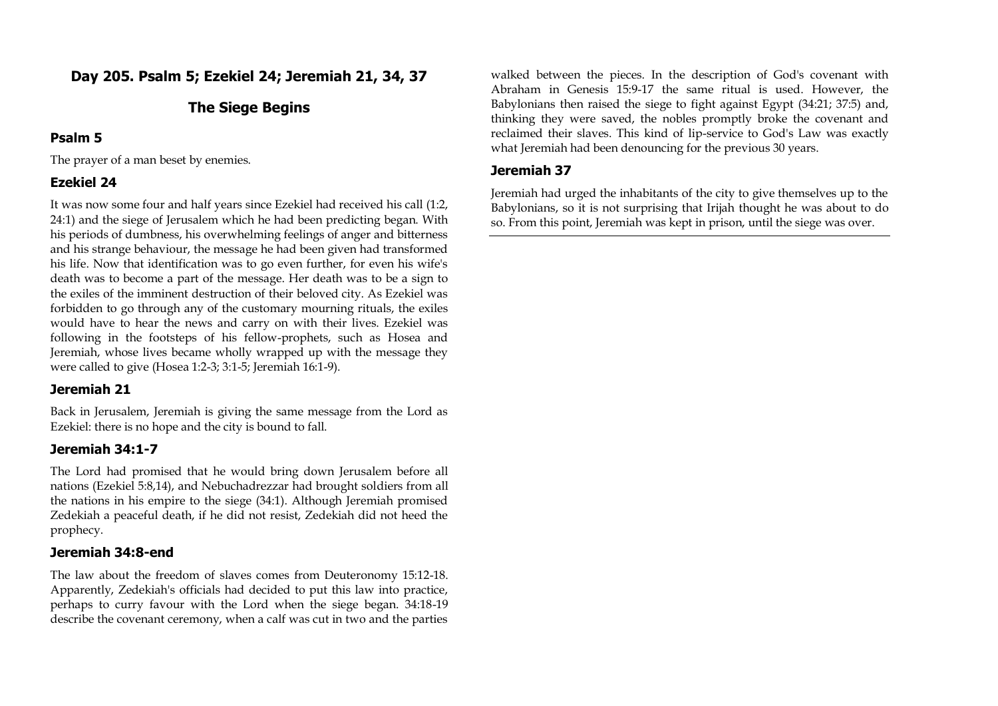# **Day 205. Psalm 5; Ezekiel 24; Jeremiah 21, 34, 37**

# **The Siege Begins**

### **Psalm 5**

The prayer of a man beset by enemies.

# **Ezekiel 24**

It was now some four and half years since Ezekiel had received his call (1:2, 24:1) and the siege of Jerusalem which he had been predicting began. With his periods of dumbness, his overwhelming feelings of anger and bitterness and his strange behaviour, the message he had been given had transformed his life. Now that identification was to go even further, for even his wife's death was to become a part of the message. Her death was to be a sign to the exiles of the imminent destruction of their beloved city. As Ezekiel was forbidden to go through any of the customary mourning rituals, the exiles would have to hear the news and carry on with their lives. Ezekiel was following in the footsteps of his fellow-prophets, such as Hosea and Jeremiah, whose lives became wholly wrapped up with the message they were called to give (Hosea 1:2-3; 3:1-5; Jeremiah 16:1-9).

## **Jeremiah 21**

Back in Jerusalem, Jeremiah is giving the same message from the Lord as Ezekiel: there is no hope and the city is bound to fall.

## **Jeremiah 34:1-7**

The Lord had promised that he would bring down Jerusalem before all nations (Ezekiel 5:8,14), and Nebuchadrezzar had brought soldiers from all the nations in his empire to the siege (34:1). Although Jeremiah promised Zedekiah a peaceful death, if he did not resist, Zedekiah did not heed the prophecy.

## **Jeremiah 34:8-end**

The law about the freedom of slaves comes from Deuteronomy 15:12-18. Apparently, Zedekiah's officials had decided to put this law into practice, perhaps to curry favour with the Lord when the siege began. 34:18-19 describe the covenant ceremony, when a calf was cut in two and the parties

walked between the pieces. In the description of God's covenant with Abraham in Genesis 15:9-17 the same ritual is used. However, the Babylonians then raised the siege to fight against Egypt (34:21; 37:5) and, thinking they were saved, the nobles promptly broke the covenant and reclaimed their slaves. This kind of lip-service to God's Law was exactly what Jeremiah had been denouncing for the previous 30 years.

# **Jeremiah 37**

Jeremiah had urged the inhabitants of the city to give themselves up to the Babylonians, so it is not surprising that Irijah thought he was about to do so. From this point, Jeremiah was kept in prison, until the siege was over.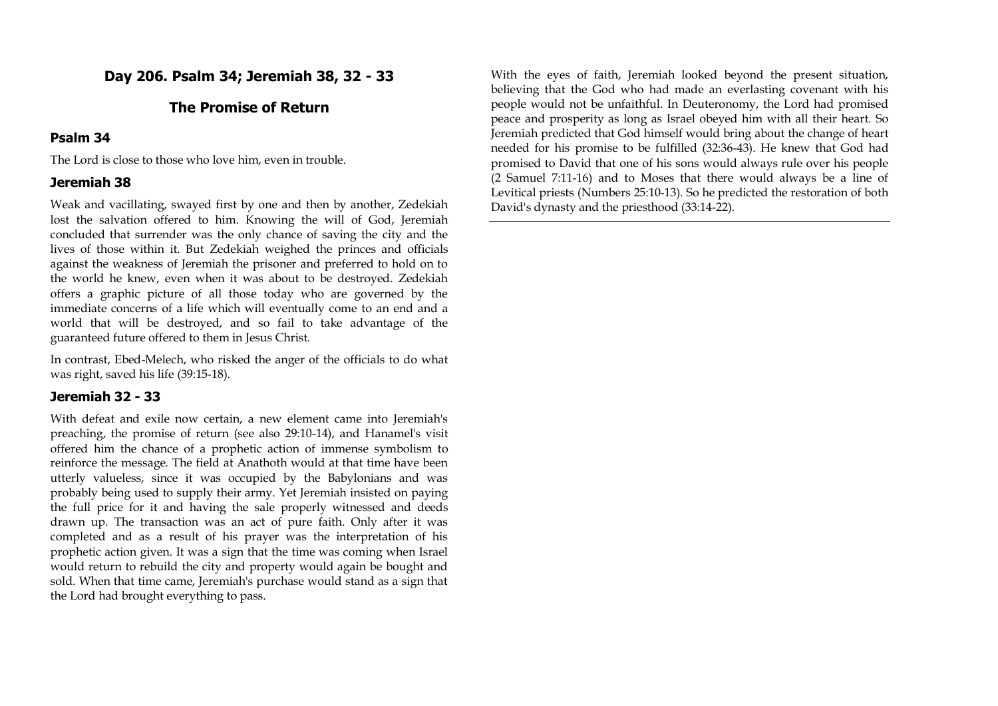**Day 206. Psalm 34; Jeremiah 38, 32 - 33**

# **The Promise of Return**

#### **Psalm 34**

The Lord is close to those who love him, even in trouble.

#### **Jeremiah 38**

Weak and vacillating, swayed first by one and then by another, Zedekiah lost the salvation offered to him. Knowing the will of God, Jeremiah concluded that surrender was the only chance of saving the city and the lives of those within it. But Zedekiah weighed the princes and officials against the weakness of Jeremiah the prisoner and preferred to hold on to the world he knew, even when it was about to be destroyed. Zedekiah offers a graphic picture of all those today who are governed by the immediate concerns of a life which will eventually come to an end and a world that will be destroyed, and so fail to take advantage of the guaranteed future offered to them in Jesus Christ.

In contrast, Ebed-Melech, who risked the anger of the officials to do what was right, saved his life (39:15-18).

### **Jeremiah 32 - 33**

With defeat and exile now certain, a new element came into Jeremiah's preaching, the promise of return (see also 29:10-14), and Hanamel's visit offered him the chance of a prophetic action of immense symbolism to reinforce the message. The field at Anathoth would at that time have been utterly valueless, since it was occupied by the Babylonians and was probably being used to supply their army. Yet Jeremiah insisted on paying the full price for it and having the sale properly witnessed and deeds drawn up. The transaction was an act of pure faith. Only after it was completed and as a result of his prayer was the interpretation of his prophetic action given. It was a sign that the time was coming when Israel would return to rebuild the city and property would again be bought and sold. When that time came, Jeremiah's purchase would stand as a sign that the Lord had brought everything to pass.

With the eyes of faith, Jeremiah looked beyond the present situation, believing that the God who had made an everlasting covenant with his people would not be unfaithful. In Deuteronomy, the Lord had promised peace and prosperity as long as Israel obeyed him with all their heart. So Jeremiah predicted that God himself would bring about the change of heart needed for his promise to be fulfilled (32:36-43). He knew that God had promised to David that one of his sons would always rule over his people (2 Samuel 7:11-16) and to Moses that there would always be a line of Levitical priests (Numbers 25:10-13). So he predicted the restoration of both David's dynasty and the priesthood (33:14-22).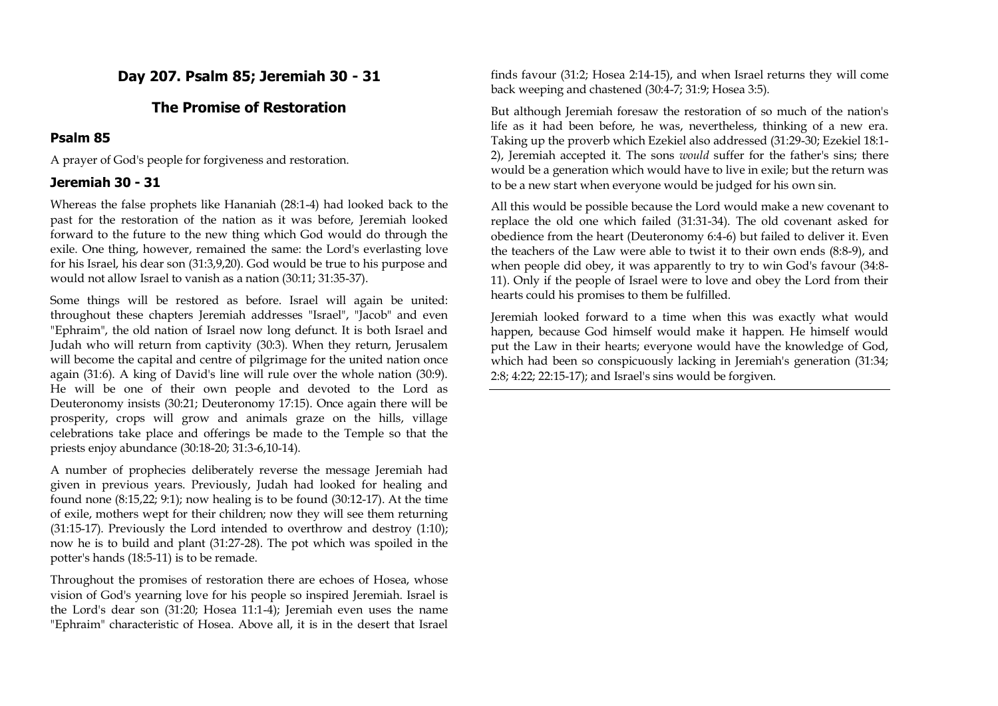**Day 207. Psalm 85; Jeremiah 30 - 31**

## **The Promise of Restoration**

### **Psalm 85**

A prayer of God's people for forgiveness and restoration.

## **Jeremiah 30 - 31**

Whereas the false prophets like Hananiah (28:1-4) had looked back to the past for the restoration of the nation as it was before, Jeremiah looked forward to the future to the new thing which God would do through the exile. One thing, however, remained the same: the Lord's everlasting love for his Israel, his dear son (31:3,9,20). God would be true to his purpose and would not allow Israel to vanish as a nation (30:11; 31:35-37).

Some things will be restored as before. Israel will again be united: throughout these chapters Jeremiah addresses "Israel", "Jacob" and even "Ephraim", the old nation of Israel now long defunct. It is both Israel and Judah who will return from captivity (30:3). When they return, Jerusalem will become the capital and centre of pilgrimage for the united nation once again (31:6). A king of David's line will rule over the whole nation (30:9). He will be one of their own people and devoted to the Lord as Deuteronomy insists (30:21; Deuteronomy 17:15). Once again there will be prosperity, crops will grow and animals graze on the hills, village celebrations take place and offerings be made to the Temple so that the priests enjoy abundance (30:18-20; 31:3-6,10-14).

A number of prophecies deliberately reverse the message Jeremiah had given in previous years. Previously, Judah had looked for healing and found none (8:15,22; 9:1); now healing is to be found (30:12-17). At the time of exile, mothers wept for their children; now they will see them returning (31:15-17). Previously the Lord intended to overthrow and destroy (1:10); now he is to build and plant (31:27-28). The pot which was spoiled in the potter's hands (18:5-11) is to be remade.

Throughout the promises of restoration there are echoes of Hosea, whose vision of God's yearning love for his people so inspired Jeremiah. Israel is the Lord's dear son (31:20; Hosea 11:1-4); Jeremiah even uses the name "Ephraim" characteristic of Hosea. Above all, it is in the desert that Israel finds favour (31:2; Hosea 2:14-15), and when Israel returns they will come back weeping and chastened (30:4-7; 31:9; Hosea 3:5).

But although Jeremiah foresaw the restoration of so much of the nation's life as it had been before, he was, nevertheless, thinking of a new era. Taking up the proverb which Ezekiel also addressed (31:29-30; Ezekiel 18:1- 2), Jeremiah accepted it. The sons *would* suffer for the father's sins; there would be a generation which would have to live in exile; but the return was to be a new start when everyone would be judged for his own sin.

All this would be possible because the Lord would make a new covenant to replace the old one which failed (31:31-34). The old covenant asked for obedience from the heart (Deuteronomy 6:4-6) but failed to deliver it. Even the teachers of the Law were able to twist it to their own ends (8:8-9), and when people did obey, it was apparently to try to win God's favour (34:8- 11). Only if the people of Israel were to love and obey the Lord from their hearts could his promises to them be fulfilled.

Jeremiah looked forward to a time when this was exactly what would happen, because God himself would make it happen. He himself would put the Law in their hearts; everyone would have the knowledge of God, which had been so conspicuously lacking in Jeremiah's generation (31:34; 2:8; 4:22; 22:15-17); and Israel's sins would be forgiven.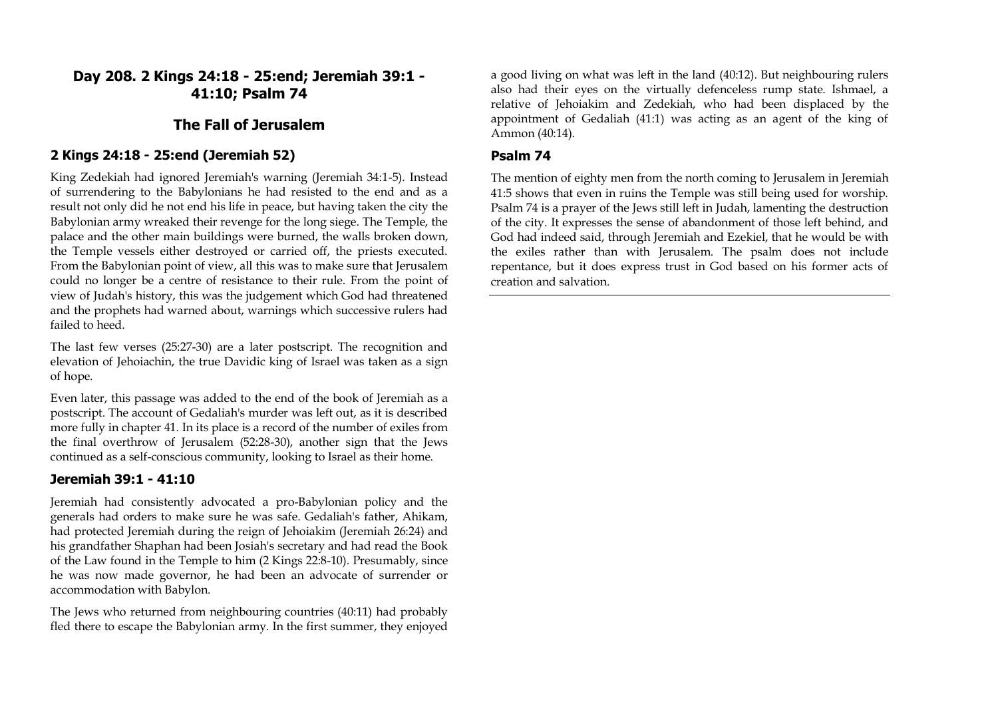**Day 208. 2 Kings 24:18 - 25:end; Jeremiah 39:1 - 41:10; Psalm 74**

# **The Fall of Jerusalem**

#### **2 Kings 24:18 - 25:end (Jeremiah 52)**

King Zedekiah had ignored Jeremiah's warning (Jeremiah 34:1-5). Instead of surrendering to the Babylonians he had resisted to the end and as a result not only did he not end his life in peace, but having taken the city the Babylonian army wreaked their revenge for the long siege. The Temple, the palace and the other main buildings were burned, the walls broken down, the Temple vessels either destroyed or carried off, the priests executed. From the Babylonian point of view, all this was to make sure that Jerusalem could no longer be a centre of resistance to their rule. From the point of view of Judah's history, this was the judgement which God had threatened and the prophets had warned about, warnings which successive rulers had failed to heed.

The last few verses (25:27-30) are a later postscript. The recognition and elevation of Jehoiachin, the true Davidic king of Israel was taken as a sign of hope.

Even later, this passage was added to the end of the book of Jeremiah as a postscript. The account of Gedaliah's murder was left out, as it is described more fully in chapter 41. In its place is a record of the number of exiles from the final overthrow of Jerusalem (52:28-30), another sign that the Jews continued as a self-conscious community, looking to Israel as their home.

### **Jeremiah 39:1 - 41:10**

Jeremiah had consistently advocated a pro-Babylonian policy and the generals had orders to make sure he was safe. Gedaliah's father, Ahikam, had protected Jeremiah during the reign of Jehoiakim (Jeremiah 26:24) and his grandfather Shaphan had been Josiah's secretary and had read the Book of the Law found in the Temple to him (2 Kings 22:8-10). Presumably, since he was now made governor, he had been an advocate of surrender or accommodation with Babylon.

The Jews who returned from neighbouring countries (40:11) had probably fled there to escape the Babylonian army. In the first summer, they enjoyed a good living on what was left in the land (40:12). But neighbouring rulers also had their eyes on the virtually defenceless rump state. Ishmael, a relative of Jehoiakim and Zedekiah, who had been displaced by the appointment of Gedaliah (41:1) was acting as an agent of the king of Ammon (40:14).

#### **Psalm 74**

The mention of eighty men from the north coming to Jerusalem in Jeremiah 41:5 shows that even in ruins the Temple was still being used for worship. Psalm 74 is a prayer of the Jews still left in Judah, lamenting the destruction of the city. It expresses the sense of abandonment of those left behind, and God had indeed said, through Jeremiah and Ezekiel, that he would be with the exiles rather than with Jerusalem. The psalm does not include repentance, but it does express trust in God based on his former acts of creation and salvation.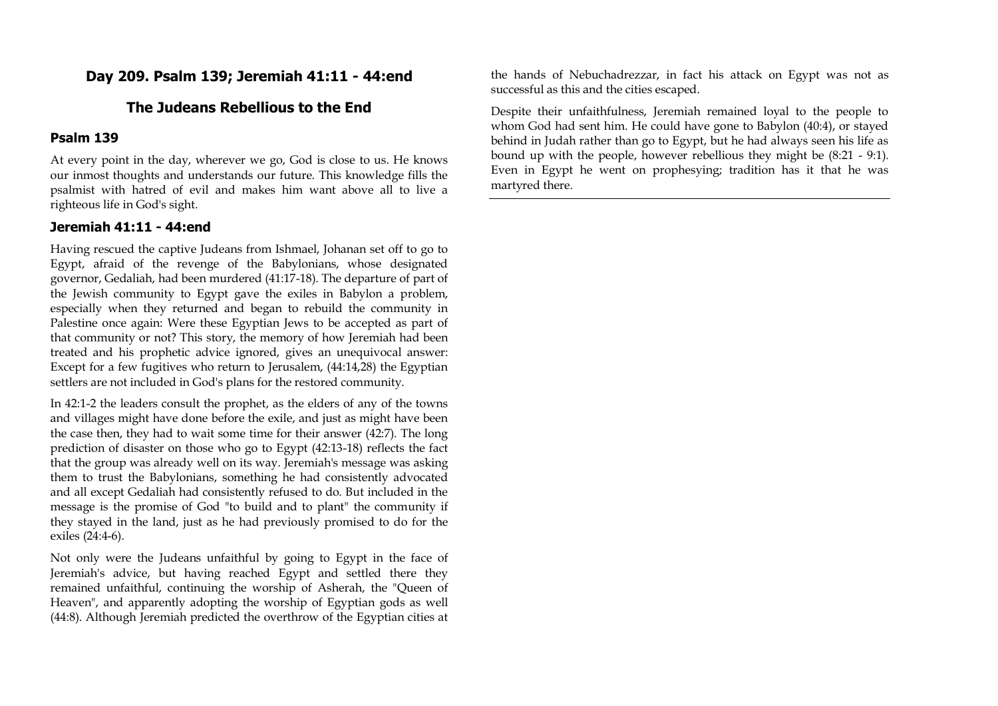# **Day 209. Psalm 139; Jeremiah 41:11 - 44:end**

# **The Judeans Rebellious to the End**

#### **Psalm 139**

At every point in the day, wherever we go, God is close to us. He knows our inmost thoughts and understands our future. This knowledge fills the psalmist with hatred of evil and makes him want above all to live a righteous life in God's sight.

#### **Jeremiah 41:11 - 44:end**

Having rescued the captive Judeans from Ishmael, Johanan set off to go to Egypt, afraid of the revenge of the Babylonians, whose designated governor, Gedaliah, had been murdered (41:17-18). The departure of part of the Jewish community to Egypt gave the exiles in Babylon a problem, especially when they returned and began to rebuild the community in Palestine once again: Were these Egyptian Jews to be accepted as part of that community or not? This story, the memory of how Jeremiah had been treated and his prophetic advice ignored, gives an unequivocal answer: Except for a few fugitives who return to Jerusalem, (44:14,28) the Egyptian settlers are not included in God's plans for the restored community.

In 42:1-2 the leaders consult the prophet, as the elders of any of the towns and villages might have done before the exile, and just as might have been the case then, they had to wait some time for their answer (42:7). The long prediction of disaster on those who go to Egypt (42:13-18) reflects the fact that the group was already well on its way. Jeremiah's message was asking them to trust the Babylonians, something he had consistently advocated and all except Gedaliah had consistently refused to do. But included in the message is the promise of God "to build and to plant" the community if they stayed in the land, just as he had previously promised to do for the exiles (24:4-6).

Not only were the Judeans unfaithful by going to Egypt in the face of Jeremiah's advice, but having reached Egypt and settled there they remained unfaithful, continuing the worship of Asherah, the "Queen of Heaven", and apparently adopting the worship of Egyptian gods as well (44:8). Although Jeremiah predicted the overthrow of the Egyptian cities at

the hands of Nebuchadrezzar, in fact his attack on Egypt was not as successful as this and the cities escaped.

Despite their unfaithfulness, Jeremiah remained loyal to the people to whom God had sent him. He could have gone to Babylon (40:4), or stayed behind in Judah rather than go to Egypt, but he had always seen his life as bound up with the people, however rebellious they might be (8:21 - 9:1). Even in Egypt he went on prophesying; tradition has it that he was martyred there.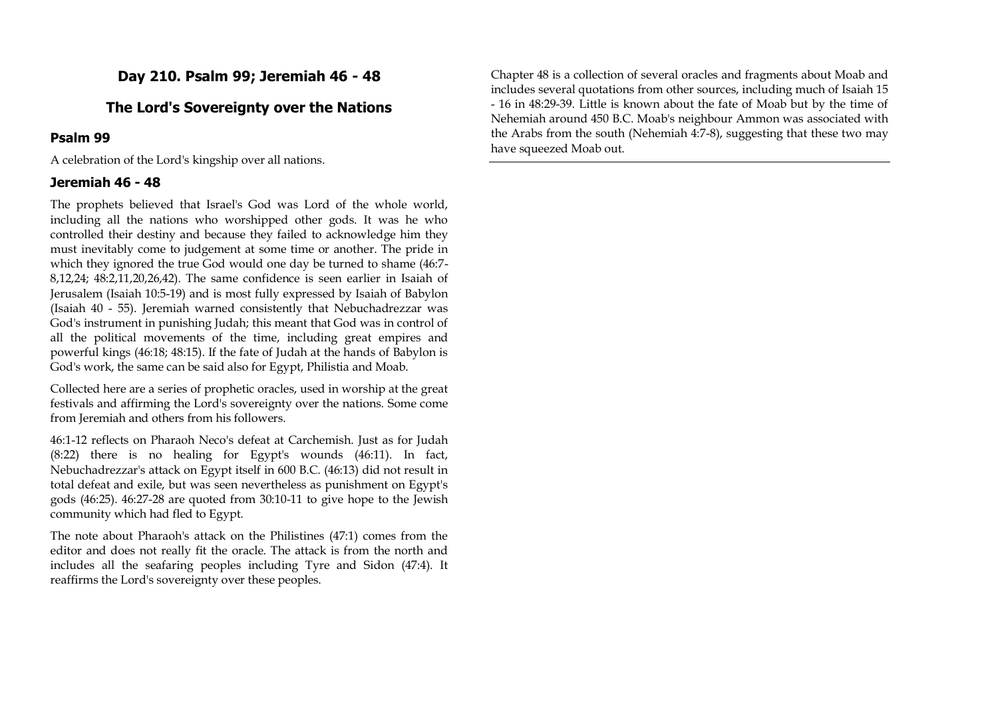# **Day 210. Psalm 99; Jeremiah 46 - 48**

# **The Lord's Sovereignty over the Nations**

### **Psalm 99**

A celebration of the Lord's kingship over all nations.

#### **Jeremiah 46 - 48**

The prophets believed that Israel's God was Lord of the whole world, including all the nations who worshipped other gods. It was he who controlled their destiny and because they failed to acknowledge him they must inevitably come to judgement at some time or another. The pride in which they ignored the true God would one day be turned to shame (46:7- 8,12,24; 48:2,11,20,26,42). The same confidence is seen earlier in Isaiah of Jerusalem (Isaiah 10:5-19) and is most fully expressed by Isaiah of Babylon (Isaiah 40 - 55). Jeremiah warned consistently that Nebuchadrezzar was God's instrument in punishing Judah; this meant that God was in control of all the political movements of the time, including great empires and powerful kings (46:18; 48:15). If the fate of Judah at the hands of Babylon is God's work, the same can be said also for Egypt, Philistia and Moab.

Collected here are a series of prophetic oracles, used in worship at the great festivals and affirming the Lord's sovereignty over the nations. Some come from Jeremiah and others from his followers.

46:1-12 reflects on Pharaoh Neco's defeat at Carchemish. Just as for Judah (8:22) there is no healing for Egypt's wounds (46:11). In fact, Nebuchadrezzar's attack on Egypt itself in 600 B.C. (46:13) did not result in total defeat and exile, but was seen nevertheless as punishment on Egypt's gods (46:25). 46:27-28 are quoted from 30:10-11 to give hope to the Jewish community which had fled to Egypt.

The note about Pharaoh's attack on the Philistines (47:1) comes from the editor and does not really fit the oracle. The attack is from the north and includes all the seafaring peoples including Tyre and Sidon (47:4). It reaffirms the Lord's sovereignty over these peoples.

Chapter 48 is a collection of several oracles and fragments about Moab and includes several quotations from other sources, including much of Isaiah 15 - 16 in 48:29-39. Little is known about the fate of Moab but by the time of Nehemiah around 450 B.C. Moab's neighbour Ammon was associated with the Arabs from the south (Nehemiah 4:7-8), suggesting that these two may have squeezed Moab out.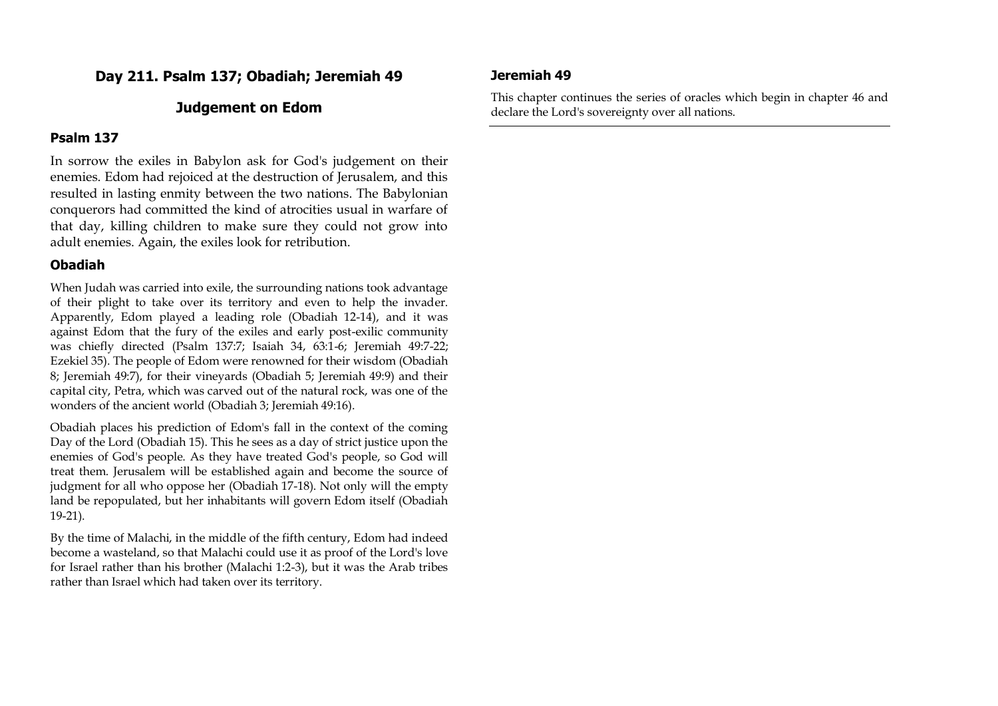**Day 211. Psalm 137; Obadiah; Jeremiah 49**

# **Judgement on Edom**

#### **Psalm 137**

In sorrow the exiles in Babylon ask for God's judgement on their enemies. Edom had rejoiced at the destruction of Jerusalem, and this resulted in lasting enmity between the two nations. The Babylonian conquerors had committed the kind of atrocities usual in warfare of that day, killing children to make sure they could not grow into adult enemies. Again, the exiles look for retribution.

## **Obadiah**

When Judah was carried into exile, the surrounding nations took advantage of their plight to take over its territory and even to help the invader. Apparently, Edom played a leading role (Obadiah 12-14), and it was against Edom that the fury of the exiles and early post-exilic community was chiefly directed (Psalm 137:7; Isaiah 34, 63:1-6; Jeremiah 49:7-22; Ezekiel 35). The people of Edom were renowned for their wisdom (Obadiah 8; Jeremiah 49:7), for their vineyards (Obadiah 5; Jeremiah 49:9) and their capital city, Petra, which was carved out of the natural rock, was one of the wonders of the ancient world (Obadiah 3; Jeremiah 49:16).

Obadiah places his prediction of Edom's fall in the context of the coming Day of the Lord (Obadiah 15). This he sees as a day of strict justice upon the enemies of God's people. As they have treated God's people, so God will treat them. Jerusalem will be established again and become the source of judgment for all who oppose her (Obadiah 17-18). Not only will the empty land be repopulated, but her inhabitants will govern Edom itself (Obadiah 19-21).

By the time of Malachi, in the middle of the fifth century, Edom had indeed become a wasteland, so that Malachi could use it as proof of the Lord's love for Israel rather than his brother (Malachi 1:2-3), but it was the Arab tribes rather than Israel which had taken over its territory.

### **Jeremiah 49**

This chapter continues the series of oracles which begin in chapter 46 and declare the Lord's sovereignty over all nations.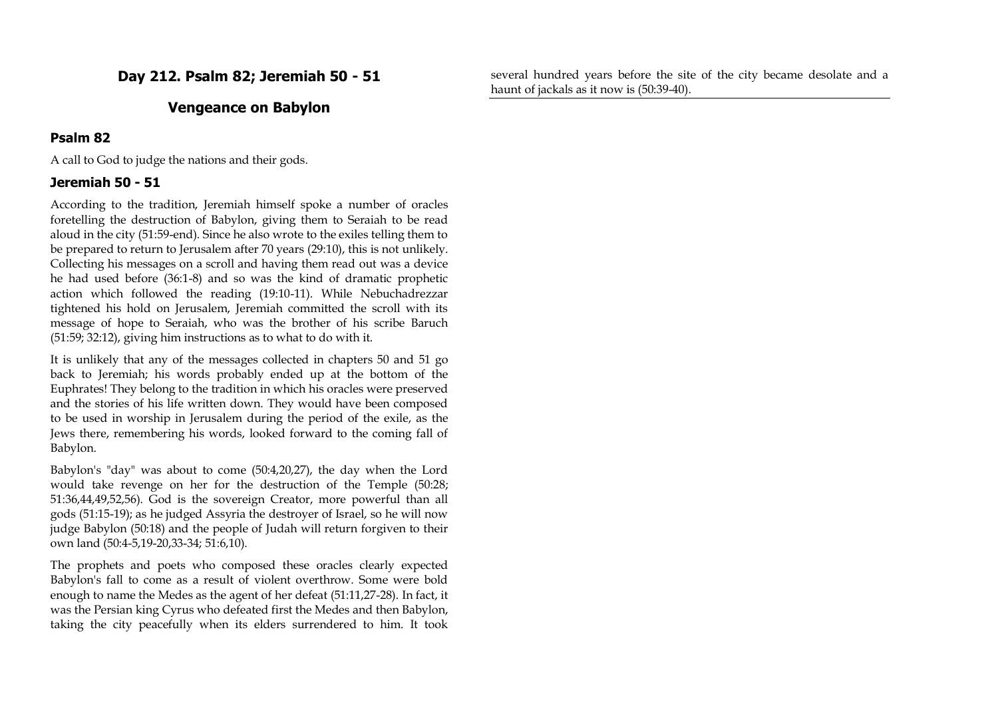**Day 212. Psalm 82; Jeremiah 50 - 51**

# **Vengeance on Babylon**

#### **Psalm 82**

A call to God to judge the nations and their gods.

#### **Jeremiah 50 - 51**

According to the tradition, Jeremiah himself spoke a number of oracles foretelling the destruction of Babylon, giving them to Seraiah to be read aloud in the city (51:59-end). Since he also wrote to the exiles telling them to be prepared to return to Jerusalem after 70 years (29:10), this is not unlikely. Collecting his messages on a scroll and having them read out was a device he had used before (36:1-8) and so was the kind of dramatic prophetic action which followed the reading (19:10-11). While Nebuchadrezzar tightened his hold on Jerusalem, Jeremiah committed the scroll with its message of hope to Seraiah, who was the brother of his scribe Baruch (51:59; 32:12), giving him instructions as to what to do with it.

It is unlikely that any of the messages collected in chapters 50 and 51 go back to Jeremiah; his words probably ended up at the bottom of the Euphrates! They belong to the tradition in which his oracles were preserved and the stories of his life written down. They would have been composed to be used in worship in Jerusalem during the period of the exile, as the Jews there, remembering his words, looked forward to the coming fall of Babylon.

Babylon's "day" was about to come (50:4,20,27), the day when the Lord would take revenge on her for the destruction of the Temple (50:28; 51:36,44,49,52,56). God is the sovereign Creator, more powerful than all gods (51:15-19); as he judged Assyria the destroyer of Israel, so he will now judge Babylon (50:18) and the people of Judah will return forgiven to their own land (50:4-5,19-20,33-34; 51:6,10).

The prophets and poets who composed these oracles clearly expected Babylon's fall to come as a result of violent overthrow. Some were bold enough to name the Medes as the agent of her defeat (51:11,27-28). In fact, it was the Persian king Cyrus who defeated first the Medes and then Babylon, taking the city peacefully when its elders surrendered to him. It took

several hundred years before the site of the city became desolate and a haunt of jackals as it now is (50:39-40).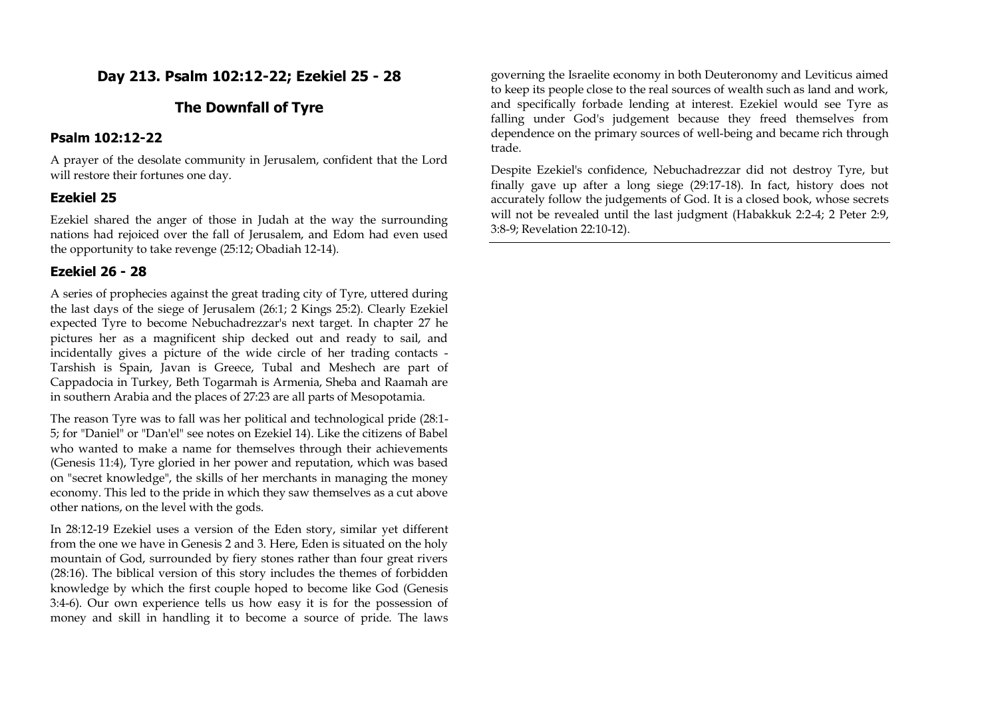# **Day 213. Psalm 102:12-22; Ezekiel 25 - 28**

# **The Downfall of Tyre**

#### **Psalm 102:12-22**

A prayer of the desolate community in Jerusalem, confident that the Lord will restore their fortunes one day.

### **Ezekiel 25**

Ezekiel shared the anger of those in Judah at the way the surrounding nations had rejoiced over the fall of Jerusalem, and Edom had even used the opportunity to take revenge (25:12; Obadiah 12-14).

#### **Ezekiel 26 - 28**

A series of prophecies against the great trading city of Tyre, uttered during the last days of the siege of Jerusalem (26:1; 2 Kings 25:2). Clearly Ezekiel expected Tyre to become Nebuchadrezzar's next target. In chapter 27 he pictures her as a magnificent ship decked out and ready to sail, and incidentally gives a picture of the wide circle of her trading contacts - Tarshish is Spain, Javan is Greece, Tubal and Meshech are part of Cappadocia in Turkey, Beth Togarmah is Armenia, Sheba and Raamah are in southern Arabia and the places of 27:23 are all parts of Mesopotamia.

The reason Tyre was to fall was her political and technological pride (28:1- 5; for "Daniel" or "Dan'el" see notes on Ezekiel 14). Like the citizens of Babel who wanted to make a name for themselves through their achievements (Genesis 11:4), Tyre gloried in her power and reputation, which was based on "secret knowledge", the skills of her merchants in managing the money economy. This led to the pride in which they saw themselves as a cut above other nations, on the level with the gods.

In 28:12-19 Ezekiel uses a version of the Eden story, similar yet different from the one we have in Genesis 2 and 3. Here, Eden is situated on the holy mountain of God, surrounded by fiery stones rather than four great rivers (28:16). The biblical version of this story includes the themes of forbidden knowledge by which the first couple hoped to become like God (Genesis 3:4-6). Our own experience tells us how easy it is for the possession of money and skill in handling it to become a source of pride. The laws

governing the Israelite economy in both Deuteronomy and Leviticus aimed to keep its people close to the real sources of wealth such as land and work, and specifically forbade lending at interest. Ezekiel would see Tyre as falling under God's judgement because they freed themselves from dependence on the primary sources of well-being and became rich through trade.

Despite Ezekiel's confidence, Nebuchadrezzar did not destroy Tyre, but finally gave up after a long siege (29:17-18). In fact, history does not accurately follow the judgements of God. It is a closed book, whose secrets will not be revealed until the last judgment (Habakkuk 2:2-4; 2 Peter 2:9, 3:8-9; Revelation 22:10-12).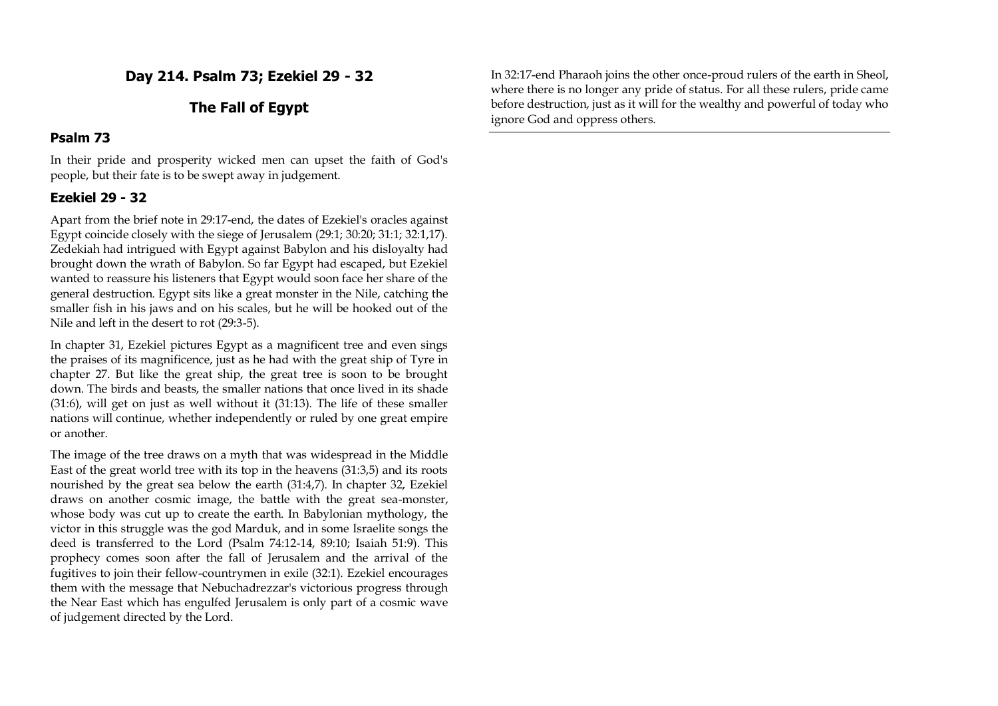**Day 214. Psalm 73; Ezekiel 29 - 32**

# **The Fall of Egypt**

#### **Psalm 73**

In their pride and prosperity wicked men can upset the faith of God's people, but their fate is to be swept away in judgement.

## **Ezekiel 29 - 32**

Apart from the brief note in 29:17-end, the dates of Ezekiel's oracles against Egypt coincide closely with the siege of Jerusalem (29:1; 30:20; 31:1; 32:1,17). Zedekiah had intrigued with Egypt against Babylon and his disloyalty had brought down the wrath of Babylon. So far Egypt had escaped, but Ezekiel wanted to reassure his listeners that Egypt would soon face her share of the general destruction. Egypt sits like a great monster in the Nile, catching the smaller fish in his jaws and on his scales, but he will be hooked out of the Nile and left in the desert to rot (29:3-5).

In chapter 31, Ezekiel pictures Egypt as a magnificent tree and even sings the praises of its magnificence, just as he had with the great ship of Tyre in chapter 27. But like the great ship, the great tree is soon to be brought down. The birds and beasts, the smaller nations that once lived in its shade (31:6), will get on just as well without it (31:13). The life of these smaller nations will continue, whether independently or ruled by one great empire or another.

The image of the tree draws on a myth that was widespread in the Middle East of the great world tree with its top in the heavens (31:3,5) and its roots nourished by the great sea below the earth (31:4,7). In chapter 32, Ezekiel draws on another cosmic image, the battle with the great sea-monster, whose body was cut up to create the earth. In Babylonian mythology, the victor in this struggle was the god Marduk, and in some Israelite songs the deed is transferred to the Lord (Psalm 74:12-14, 89:10; Isaiah 51:9). This prophecy comes soon after the fall of Jerusalem and the arrival of the fugitives to join their fellow-countrymen in exile (32:1). Ezekiel encourages them with the message that Nebuchadrezzar's victorious progress through the Near East which has engulfed Jerusalem is only part of a cosmic wave of judgement directed by the Lord.

In 32:17-end Pharaoh joins the other once-proud rulers of the earth in Sheol, where there is no longer any pride of status. For all these rulers, pride came before destruction, just as it will for the wealthy and powerful of today who ignore God and oppress others.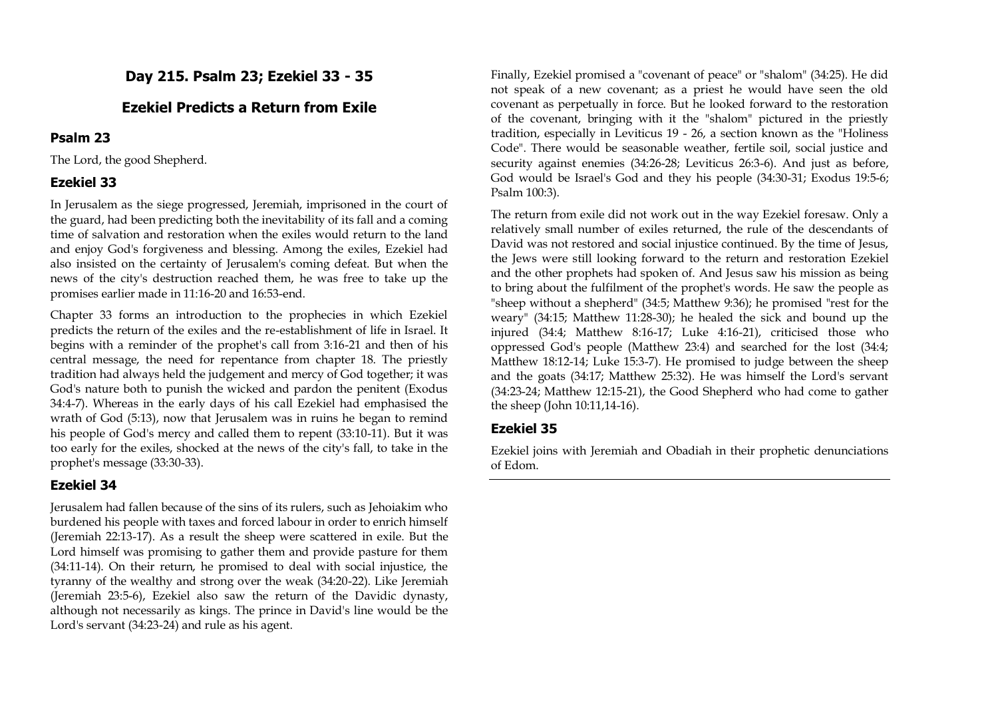# **Day 215. Psalm 23; Ezekiel 33 - 35**

# **Ezekiel Predicts a Return from Exile**

# **Psalm 23**

The Lord, the good Shepherd.

# **Ezekiel 33**

In Jerusalem as the siege progressed, Jeremiah, imprisoned in the court of the guard, had been predicting both the inevitability of its fall and a coming time of salvation and restoration when the exiles would return to the land and enjoy God's forgiveness and blessing. Among the exiles, Ezekiel had also insisted on the certainty of Jerusalem's coming defeat. But when the news of the city's destruction reached them, he was free to take up the promises earlier made in 11:16-20 and 16:53-end.

Chapter 33 forms an introduction to the prophecies in which Ezekiel predicts the return of the exiles and the re-establishment of life in Israel. It begins with a reminder of the prophet's call from 3:16-21 and then of his central message, the need for repentance from chapter 18. The priestly tradition had always held the judgement and mercy of God together; it was God's nature both to punish the wicked and pardon the penitent (Exodus 34:4-7). Whereas in the early days of his call Ezekiel had emphasised the wrath of God (5:13), now that Jerusalem was in ruins he began to remind his people of God's mercy and called them to repent (33:10-11). But it was too early for the exiles, shocked at the news of the city's fall, to take in the prophet's message (33:30-33).

# **Ezekiel 34**

Jerusalem had fallen because of the sins of its rulers, such as Jehoiakim who burdened his people with taxes and forced labour in order to enrich himself (Jeremiah 22:13-17). As a result the sheep were scattered in exile. But the Lord himself was promising to gather them and provide pasture for them (34:11-14). On their return, he promised to deal with social injustice, the tyranny of the wealthy and strong over the weak (34:20-22). Like Jeremiah (Jeremiah 23:5-6), Ezekiel also saw the return of the Davidic dynasty, although not necessarily as kings. The prince in David's line would be the Lord's servant (34:23-24) and rule as his agent.

Finally, Ezekiel promised a "covenant of peace" or "shalom" (34:25). He did not speak of a new covenant; as a priest he would have seen the old covenant as perpetually in force. But he looked forward to the restoration of the covenant, bringing with it the "shalom" pictured in the priestly tradition, especially in Leviticus 19 - 26, a section known as the "Holiness Code". There would be seasonable weather, fertile soil, social justice and security against enemies (34:26-28; Leviticus 26:3-6). And just as before, God would be Israel's God and they his people (34:30-31; Exodus 19:5-6; Psalm 100:3).

The return from exile did not work out in the way Ezekiel foresaw. Only a relatively small number of exiles returned, the rule of the descendants of David was not restored and social injustice continued. By the time of Jesus, the Jews were still looking forward to the return and restoration Ezekiel and the other prophets had spoken of. And Jesus saw his mission as being to bring about the fulfilment of the prophet's words. He saw the people as "sheep without a shepherd" (34:5; Matthew 9:36); he promised "rest for the weary" (34:15; Matthew 11:28-30); he healed the sick and bound up the injured (34:4; Matthew 8:16-17; Luke 4:16-21), criticised those who oppressed God's people (Matthew 23:4) and searched for the lost (34:4; Matthew 18:12-14; Luke 15:3-7). He promised to judge between the sheep and the goats (34:17; Matthew 25:32). He was himself the Lord's servant (34:23-24; Matthew 12:15-21), the Good Shepherd who had come to gather the sheep (John 10:11,14-16).

## **Ezekiel 35**

Ezekiel joins with Jeremiah and Obadiah in their prophetic denunciations of Edom.